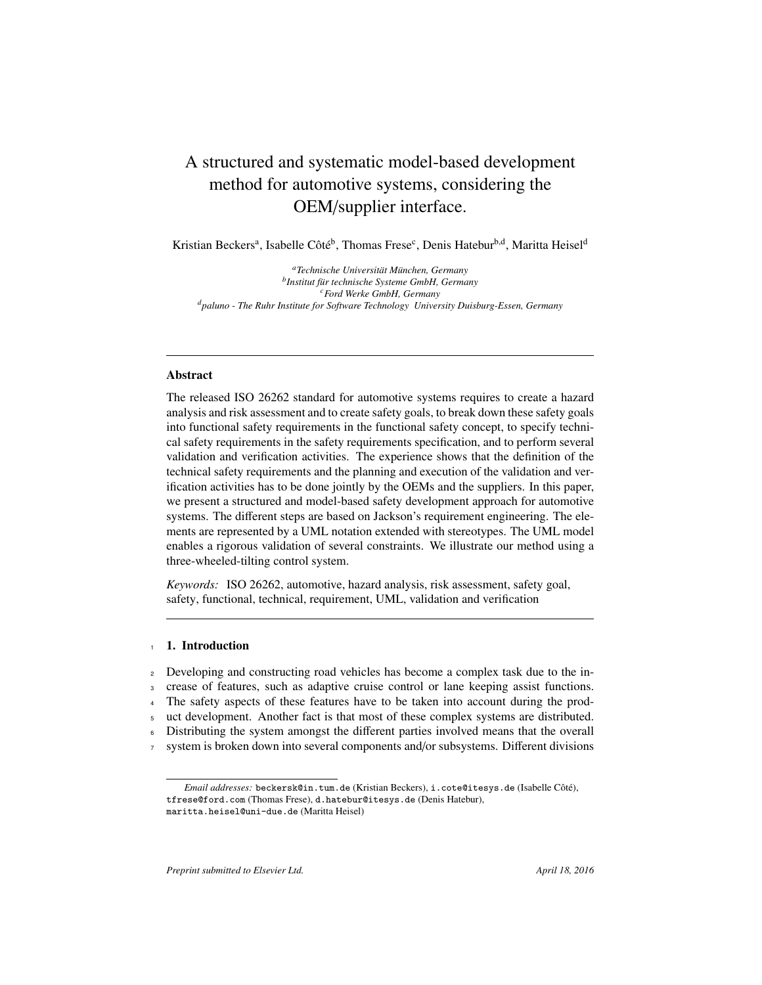# A structured and systematic model-based development method for automotive systems, considering the OEM/supplier interface.

Kristian Beckers<sup>a</sup>, Isabelle Côté<sup>b</sup>, Thomas Frese<sup>c</sup>, Denis Hatebur<sup>b,d</sup>, Maritta Heisel<sup>d</sup>

*<sup>a</sup>Technische Universit¨at M¨unchen, Germany b Institut f¨ur technische Systeme GmbH, Germany <sup>c</sup>Ford Werke GmbH, Germany <sup>d</sup>paluno - The Ruhr Institute for Software Technology University Duisburg-Essen, Germany*

# Abstract

The released ISO 26262 standard for automotive systems requires to create a hazard analysis and risk assessment and to create safety goals, to break down these safety goals into functional safety requirements in the functional safety concept, to specify technical safety requirements in the safety requirements specification, and to perform several validation and verification activities. The experience shows that the definition of the technical safety requirements and the planning and execution of the validation and verification activities has to be done jointly by the OEMs and the suppliers. In this paper, we present a structured and model-based safety development approach for automotive systems. The different steps are based on Jackson's requirement engineering. The elements are represented by a UML notation extended with stereotypes. The UML model enables a rigorous validation of several constraints. We illustrate our method using a three-wheeled-tilting control system.

*Keywords:* ISO 26262, automotive, hazard analysis, risk assessment, safety goal, safety, functional, technical, requirement, UML, validation and verification

#### 1. Introduction

 Developing and constructing road vehicles has become a complex task due to the in- crease of features, such as adaptive cruise control or lane keeping assist functions. The safety aspects of these features have to be taken into account during the prod- uct development. Another fact is that most of these complex systems are distributed. Distributing the system amongst the different parties involved means that the overall system is broken down into several components and/or subsystems. Different divisions

*Email addresses*: beckersk@in.tum.de (Kristian Beckers), i.cote@itesys.de (Isabelle Côté), tfrese@ford.com (Thomas Frese), d.hatebur@itesys.de (Denis Hatebur), maritta.heisel@uni-due.de (Maritta Heisel)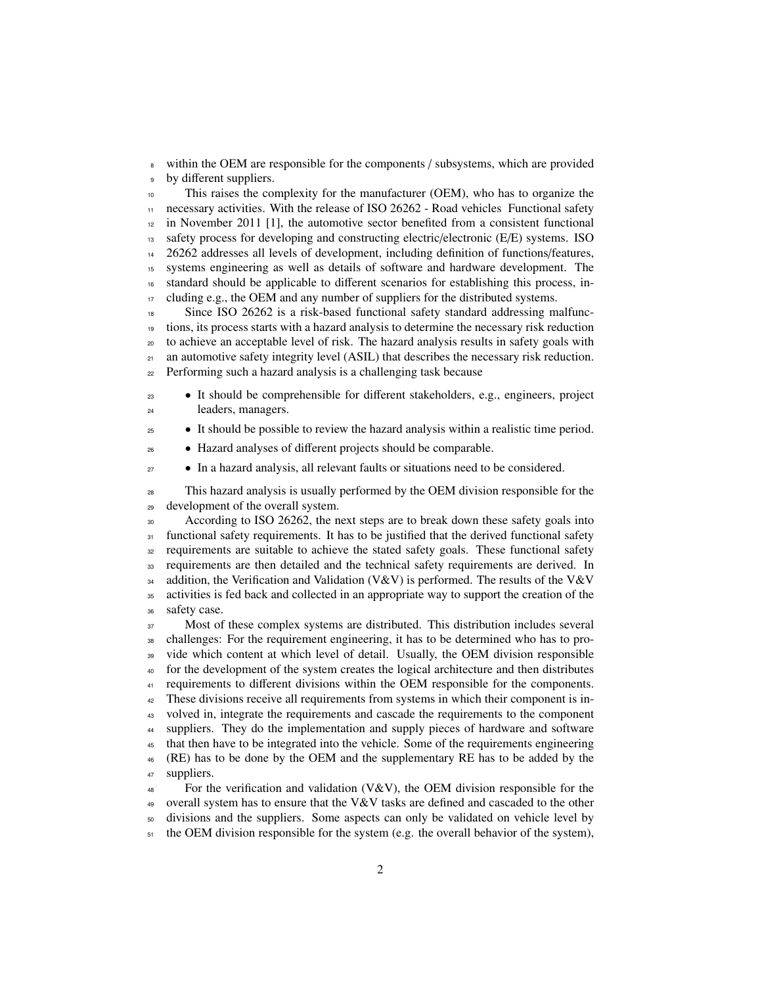within the OEM are responsible for the components / subsystems, which are provided by different suppliers.

 This raises the complexity for the manufacturer (OEM), who has to organize the necessary activities. With the release of ISO 26262 - Road vehicles Functional safety in November 2011 [1], the automotive sector benefited from a consistent functional safety process for developing and constructing electric/electronic (E/E) systems. ISO 26262 addresses all levels of development, including definition of functions/features, systems engineering as well as details of software and hardware development. The standard should be applicable to different scenarios for establishing this process, in-cluding e.g., the OEM and any number of suppliers for the distributed systems.

 Since ISO 26262 is a risk-based functional safety standard addressing malfunc- tions, its process starts with a hazard analysis to determine the necessary risk reduction to achieve an acceptable level of risk. The hazard analysis results in safety goals with <sup>21</sup> an automotive safety integrity level (ASIL) that describes the necessary risk reduction. Performing such a hazard analysis is a challenging task because

 • It should be comprehensible for different stakeholders, e.g., engineers, project leaders, managers.

<sup>25</sup> • It should be possible to review the hazard analysis within a realistic time period.

<sup>26</sup> • Hazard analyses of different projects should be comparable.

• In a hazard analysis, all relevant faults or situations need to be considered.

 This hazard analysis is usually performed by the OEM division responsible for the development of the overall system.

 According to ISO 26262, the next steps are to break down these safety goals into <sup>31</sup> functional safety requirements. It has to be justified that the derived functional safety <sup>32</sup> requirements are suitable to achieve the stated safety goals. These functional safety <sup>33</sup> requirements are then detailed and the technical safety requirements are derived. In 34 addition, the Verification and Validation (V&V) is performed. The results of the V&V activities is fed back and collected in an appropriate way to support the creation of the safety case.

 Most of these complex systems are distributed. This distribution includes several challenges: For the requirement engineering, it has to be determined who has to provide which content at which level of detail. Usually, the OEM division responsible for the development of the system creates the logical architecture and then distributes 41 requirements to different divisions within the OEM responsible for the components. These divisions receive all requirements from systems in which their component is in- volved in, integrate the requirements and cascade the requirements to the component suppliers. They do the implementation and supply pieces of hardware and software that then have to be integrated into the vehicle. Some of the requirements engineering (RE) has to be done by the OEM and the supplementary RE has to be added by the suppliers.

 For the verification and validation (V&V), the OEM division responsible for the <sup>49</sup> overall system has to ensure that the V&V tasks are defined and cascaded to the other divisions and the suppliers. Some aspects can only be validated on vehicle level by the OEM division responsible for the system (e.g. the overall behavior of the system),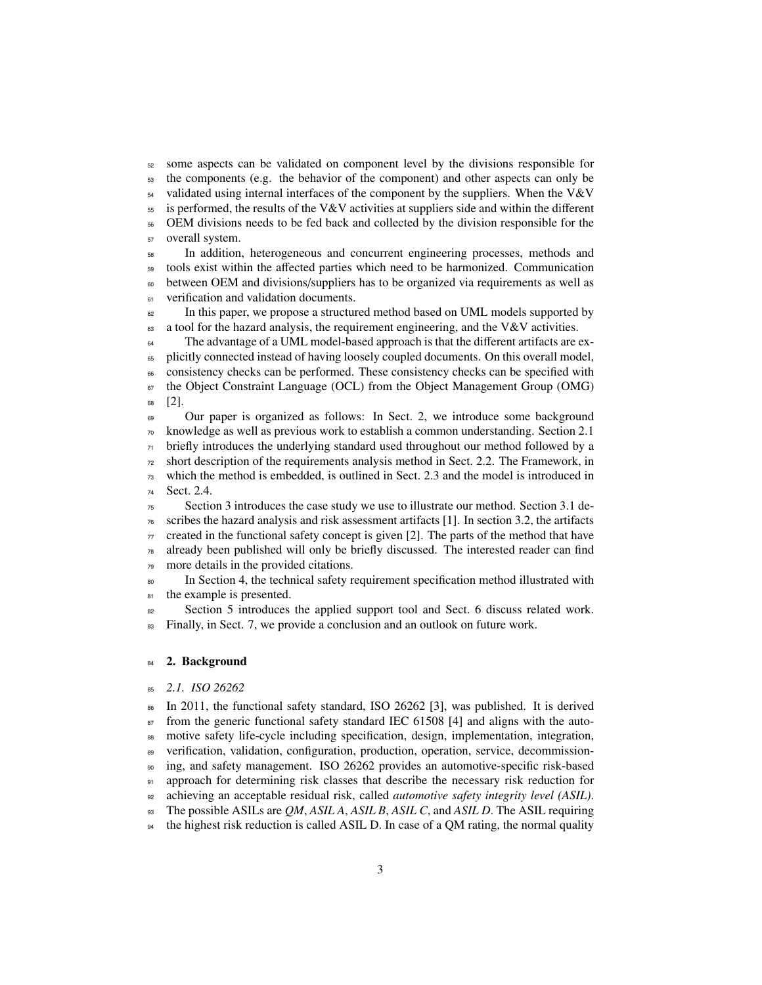some aspects can be validated on component level by the divisions responsible for the components (e.g. the behavior of the component) and other aspects can only be validated using internal interfaces of the component by the suppliers. When the V&V is performed, the results of the V&V activities at suppliers side and within the different <sub>56</sub> OEM divisions needs to be fed back and collected by the division responsible for the overall system.

 In addition, heterogeneous and concurrent engineering processes, methods and tools exist within the affected parties which need to be harmonized. Communication between OEM and divisions/suppliers has to be organized via requirements as well as <sup>61</sup> verification and validation documents.

<sup>62</sup> In this paper, we propose a structured method based on UML models supported by a tool for the hazard analysis, the requirement engineering, and the V&V activities.

 The advantage of a UML model-based approach is that the different artifacts are ex-<sup>65</sup> plicitly connected instead of having loosely coupled documents. On this overall model, consistency checks can be performed. These consistency checks can be specified with the Object Constraint Language (OCL) from the Object Management Group (OMG) [2].

<sup>69</sup> Our paper is organized as follows: In Sect. 2, we introduce some background knowledge as well as previous work to establish a common understanding. Section 2.1 briefly introduces the underlying standard used throughout our method followed by a short description of the requirements analysis method in Sect. 2.2. The Framework, in which the method is embedded, is outlined in Sect. 2.3 and the model is introduced in Sect. 2.4.

 Section 3 introduces the case study we use to illustrate our method. Section 3.1 describes the hazard analysis and risk assessment artifacts [1]. In section 3.2, the artifacts  $\tau$  created in the functional safety concept is given [2]. The parts of the method that have already been published will only be briefly discussed. The interested reader can find more details in the provided citations.

80 In Section 4, the technical safety requirement specification method illustrated with 81 the example is presented.

 Section 5 introduces the applied support tool and Sect. 6 discuss related work. 83 Finally, in Sect. 7, we provide a conclusion and an outlook on future work.

## 84 2. Background

#### *2.1. ISO 26262*

 In 2011, the functional safety standard, ISO 26262 [3], was published. It is derived from the generic functional safety standard IEC 61508 [4] and aligns with the auto- motive safety life-cycle including specification, design, implementation, integration, verification, validation, configuration, production, operation, service, decommission- ing, and safety management. ISO 26262 provides an automotive-specific risk-based approach for determining risk classes that describe the necessary risk reduction for achieving an acceptable residual risk, called *automotive safety integrity level (ASIL)*. The possible ASILs are *QM*, *ASIL A*, *ASIL B*, *ASIL C*, and *ASIL D*. The ASIL requiring the highest risk reduction is called ASIL D. In case of a QM rating, the normal quality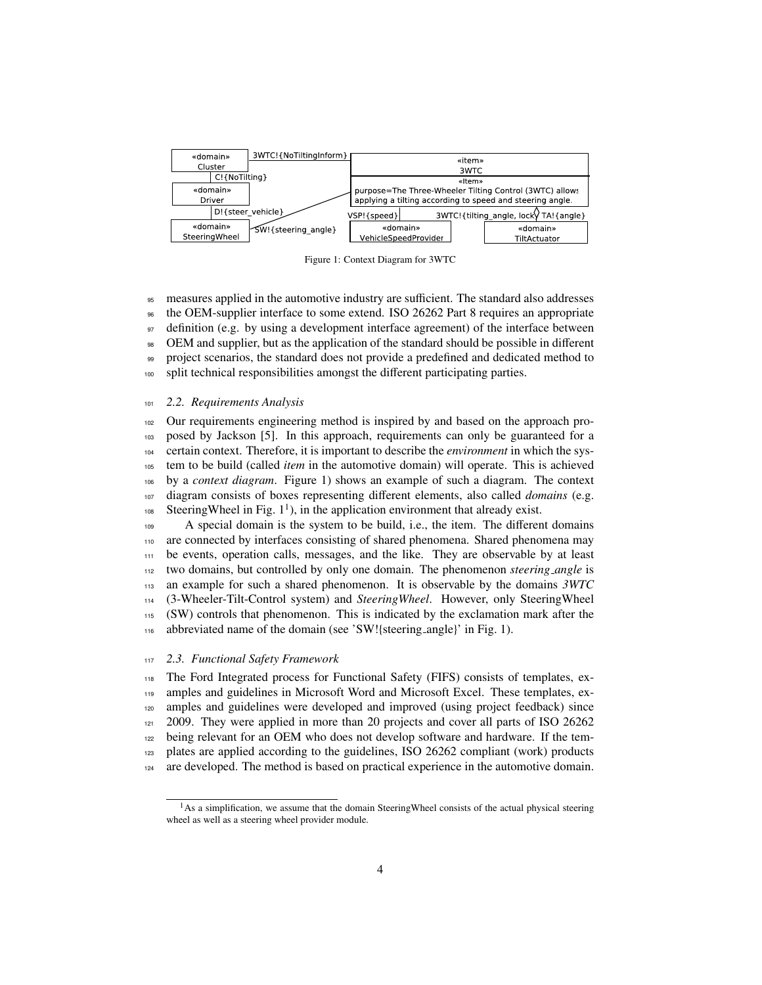

Figure 1: Context Diagram for 3WTC

 measures applied in the automotive industry are sufficient. The standard also addresses the OEM-supplier interface to some extend. ISO 26262 Part 8 requires an appropriate definition (e.g. by using a development interface agreement) of the interface between OEM and supplier, but as the application of the standard should be possible in different project scenarios, the standard does not provide a predefined and dedicated method to split technical responsibilities amongst the different participating parties.

#### *2.2. Requirements Analysis*

 Our requirements engineering method is inspired by and based on the approach pro- posed by Jackson [5]. In this approach, requirements can only be guaranteed for a certain context. Therefore, it is important to describe the *environment* in which the sys- tem to be build (called *item* in the automotive domain) will operate. This is achieved by a *context diagram*. Figure 1) shows an example of such a diagram. The context diagram consists of boxes representing different elements, also called *domains* (e.g. Steering Wheel in Fig.  $1<sup>1</sup>$ ), in the application environment that already exist.

 A special domain is the system to be build, i.e., the item. The different domains are connected by interfaces consisting of shared phenomena. Shared phenomena may be events, operation calls, messages, and the like. They are observable by at least two domains, but controlled by only one domain. The phenomenon *steering angle* is an example for such a shared phenomenon. It is observable by the domains *3WTC* (3-Wheeler-Tilt-Control system) and *SteeringWheel*. However, only SteeringWheel (SW) controls that phenomenon. This is indicated by the exclamation mark after the abbreviated name of the domain (see 'SW!{steering angle}' in Fig. 1).

#### *2.3. Functional Safety Framework*

 The Ford Integrated process for Functional Safety (FIFS) consists of templates, ex- amples and guidelines in Microsoft Word and Microsoft Excel. These templates, ex- amples and guidelines were developed and improved (using project feedback) since 2009. They were applied in more than 20 projects and cover all parts of ISO 26262 being relevant for an OEM who does not develop software and hardware. If the tem- plates are applied according to the guidelines, ISO 26262 compliant (work) products <sup>124</sup> are developed. The method is based on practical experience in the automotive domain.

 $<sup>1</sup>$ As a simplification, we assume that the domain SteeringWheel consists of the actual physical steering</sup> wheel as well as a steering wheel provider module.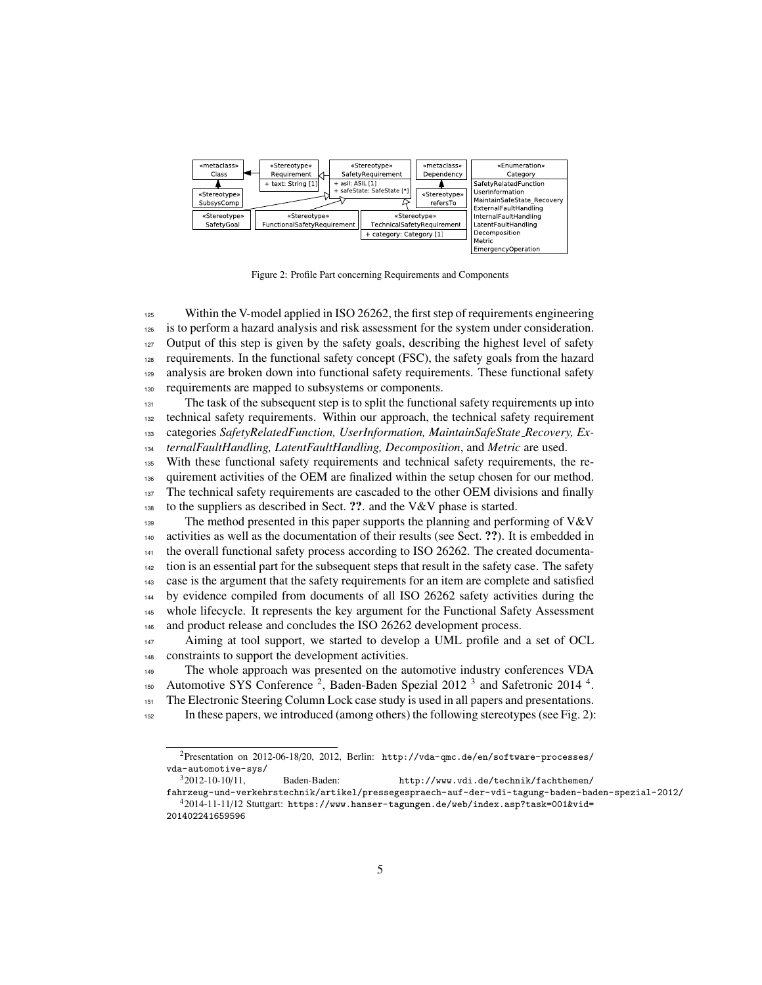

Figure 2: Profile Part concerning Requirements and Components

125 Within the V-model applied in ISO 26262, the first step of requirements engineering is to perform a hazard analysis and risk assessment for the system under consideration. Output of this step is given by the safety goals, describing the highest level of safety requirements. In the functional safety concept (FSC), the safety goals from the hazard analysis are broken down into functional safety requirements. These functional safety requirements are mapped to subsystems or components.

<sup>131</sup> The task of the subsequent step is to split the functional safety requirements up into technical safety requirements. Within our approach, the technical safety requirement categories *SafetyRelatedFunction, UserInformation, MaintainSafeState Recovery, Ex-ternalFaultHandling, LatentFaultHandling, Decomposition*, and *Metric* are used.

 With these functional safety requirements and technical safety requirements, the requirement activities of the OEM are finalized within the setup chosen for our method. <sup>137</sup> The technical safety requirements are cascaded to the other OEM divisions and finally to the suppliers as described in Sect. ??. and the V&V phase is started.

139 The method presented in this paper supports the planning and performing of  $V\&V$  activities as well as the documentation of their results (see Sect. ??). It is embedded in the overall functional safety process according to ISO 26262. The created documenta- tion is an essential part for the subsequent steps that result in the safety case. The safety case is the argument that the safety requirements for an item are complete and satisfied by evidence compiled from documents of all ISO 26262 safety activities during the whole lifecycle. It represents the key argument for the Functional Safety Assessment 146 and product release and concludes the ISO 26262 development process.

 Aiming at tool support, we started to develop a UML profile and a set of OCL constraints to support the development activities.

 The whole approach was presented on the automotive industry conferences VDA  $_{150}$  Automotive SYS Conference<sup>2</sup>, Baden-Baden Spezial 2012<sup>3</sup> and Safetronic 2014<sup>4</sup>. 151 The Electronic Steering Column Lock case study is used in all papers and presentations.

In these papers, we introduced (among others) the following stereotypes (see Fig. 2):

Presentation on 2012-06-18/20, 2012, Berlin: http://vda-qmc.de/en/software-processes/  $vda$ -automotive-sys/<br> $32012-10-10/11$ ,

Baden-Baden: http://www.vdi.de/technik/fachthemen/

fahrzeug-und-verkehrstechnik/artikel/pressegespraech-auf-der-vdi-tagung-baden-baden-spezial-2012/ 2014-11-11/12 Stuttgart: https://www.hanser-tagungen.de/web/index.asp?task=001&vid=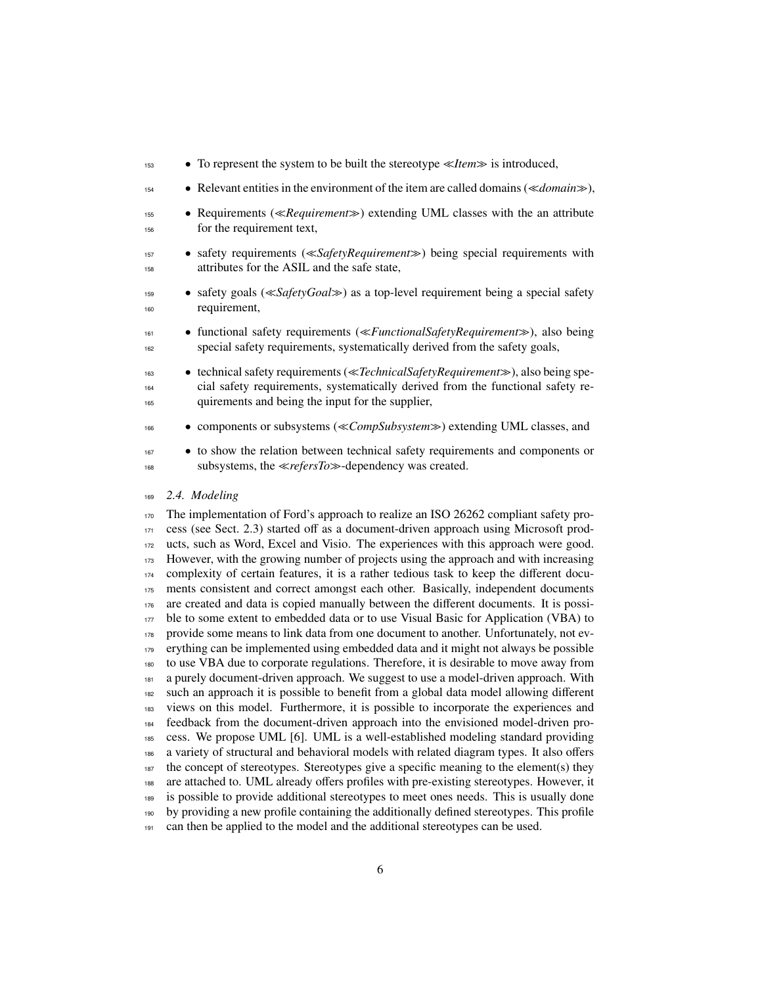<sup>153</sup> • To represent the system to be built the stereotype «*Item*» is introduced, **• Relevant entities in the environment of the item are called domains (** $\ll$  **domain** $\gg$ **)**, **• Requirements (** $\ll$ *Requirement* $\gg$ ) extending UML classes with the an attribute for the requirement text, <sup>157</sup> • safety requirements ( $\ll$ *SafetyRequirement* $\gg$ ) being special requirements with attributes for the ASIL and the safe state, • safety goals ( $\ll$ *SafetyGoal* $\gg$ ) as a top-level requirement being a special safety requirement, • functional safety requirements (*FunctionalSafetyRequirement*), also being special safety requirements, systematically derived from the safety goals, • technical safety requirements (*TechnicalSafetyRequirement*), also being spe- cial safety requirements, systematically derived from the functional safety re-165 quirements and being the input for the supplier, <sup>166</sup> • components or subsystems (*«CompSubsystem*») extending UML classes, and • to show the relation between technical safety requirements and components or 168 subsystems, the *«refersTo*»-dependency was created.

# *2.4. Modeling*

 The implementation of Ford's approach to realize an ISO 26262 compliant safety pro- cess (see Sect. 2.3) started off as a document-driven approach using Microsoft prod- ucts, such as Word, Excel and Visio. The experiences with this approach were good. However, with the growing number of projects using the approach and with increasing complexity of certain features, it is a rather tedious task to keep the different docu- ments consistent and correct amongst each other. Basically, independent documents are created and data is copied manually between the different documents. It is possi- ble to some extent to embedded data or to use Visual Basic for Application (VBA) to provide some means to link data from one document to another. Unfortunately, not ev- erything can be implemented using embedded data and it might not always be possible to use VBA due to corporate regulations. Therefore, it is desirable to move away from <sup>181</sup> a purely document-driven approach. We suggest to use a model-driven approach. With such an approach it is possible to benefit from a global data model allowing different views on this model. Furthermore, it is possible to incorporate the experiences and feedback from the document-driven approach into the envisioned model-driven pro- cess. We propose UML [6]. UML is a well-established modeling standard providing a variety of structural and behavioral models with related diagram types. It also offers the concept of stereotypes. Stereotypes give a specific meaning to the element(s) they are attached to. UML already offers profiles with pre-existing stereotypes. However, it is possible to provide additional stereotypes to meet ones needs. This is usually done by providing a new profile containing the additionally defined stereotypes. This profile can then be applied to the model and the additional stereotypes can be used.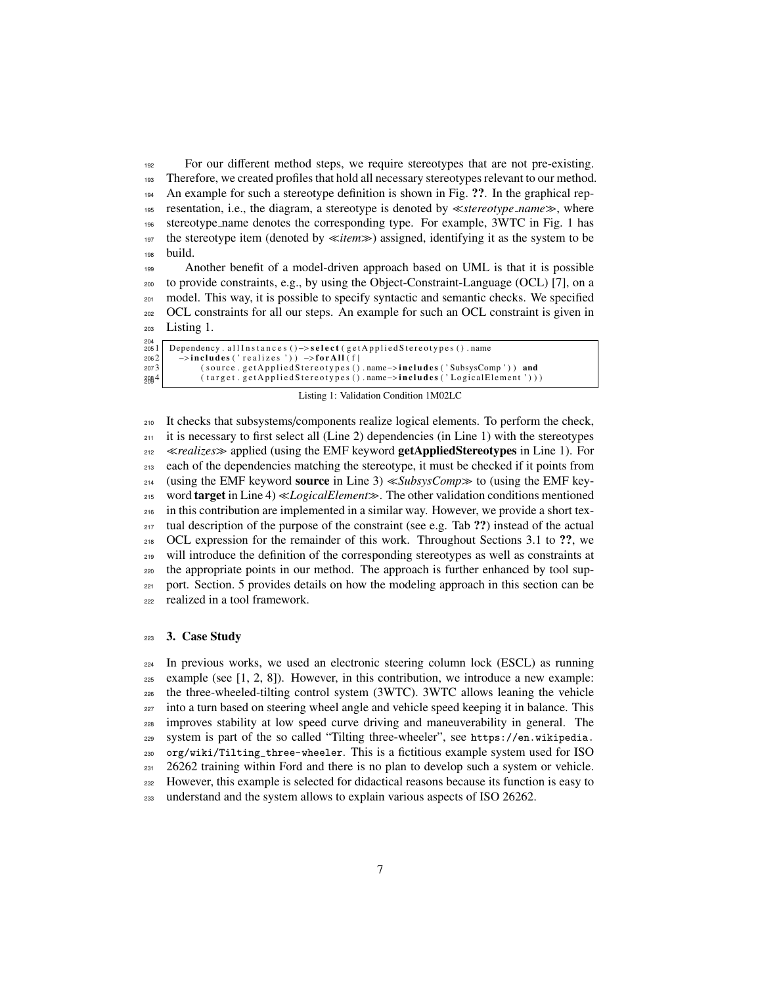For our different method steps, we require stereotypes that are not pre-existing. 193 Therefore, we created profiles that hold all necessary stereotypes relevant to our method. An example for such a stereotype definition is shown in Fig. ??. In the graphical rep-195 resentation, i.e., the diagram, a stereotype is denoted by  $\ll$ *stereotype\_name*, where stereotype name denotes the corresponding type. For example, 3WTC in Fig. 1 has <sup>197</sup> the stereotype item (denoted by  $\ll$ *item* $\gg$ ) assigned, identifying it as the system to be build.

Another benefit of a model-driven approach based on UML is that it is possible to provide constraints, e.g., by using the Object-Constraint-Language (OCL) [7], on a model. This way, it is possible to specify syntactic and semantic checks. We specified OCL constraints for all our steps. An example for such an OCL constraint is given in Listing 1.

```
204
<sup>2051</sup> Dependency . allInstances ()->select (getAppliedStereotypes () . name<br>2062 ->includes ('realizes')) ->forAll (f|
2062 ->includes ('realizes')) ->forAll(f|<br>2073 (source.getAppliedStereotypes)
 2073 (source .getAppliedStereotypes () .name->includes ('SubsysComp')) and<br>20084 (target .getAppliedStereotypes () .name->includes ('LogicalElement')))
```
Listing 1: Validation Condition 1M02LC

 It checks that subsystems/components realize logical elements. To perform the check,  $_{211}$  it is necessary to first select all (Line 2) dependencies (in Line 1) with the stereotypes <sup>212</sup> *«realizes»* applied (using the EMF keyword **getAppliedStereotypes** in Line 1). For each of the dependencies matching the stereotype, it must be checked if it points from  $_{214}$  (using the EMF keyword **source** in Line 3)  $\ll$ SubsysComp $\gg$  to (using the EMF key- word target in Line 4) *LogicalElement*. The other validation conditions mentioned in this contribution are implemented in a similar way. However, we provide a short tex-<sup>217</sup> tual description of the purpose of the constraint (see e.g. Tab ??) instead of the actual OCL expression for the remainder of this work. Throughout Sections 3.1 to ??, we will introduce the definition of the corresponding stereotypes as well as constraints at <sub>220</sub> the appropriate points in our method. The approach is further enhanced by tool sup- port. Section. 5 provides details on how the modeling approach in this section can be realized in a tool framework.

# 3. Case Study

 In previous works, we used an electronic steering column lock (ESCL) as running example (see [1, 2, 8]). However, in this contribution, we introduce a new example: the three-wheeled-tilting control system (3WTC). 3WTC allows leaning the vehicle into a turn based on steering wheel angle and vehicle speed keeping it in balance. This improves stability at low speed curve driving and maneuverability in general. The system is part of the so called "Tilting three-wheeler", see https://en.wikipedia. org/wiki/Tilting\_three-wheeler. This is a fictitious example system used for ISO training within Ford and there is no plan to develop such a system or vehicle. However, this example is selected for didactical reasons because its function is easy to understand and the system allows to explain various aspects of ISO 26262.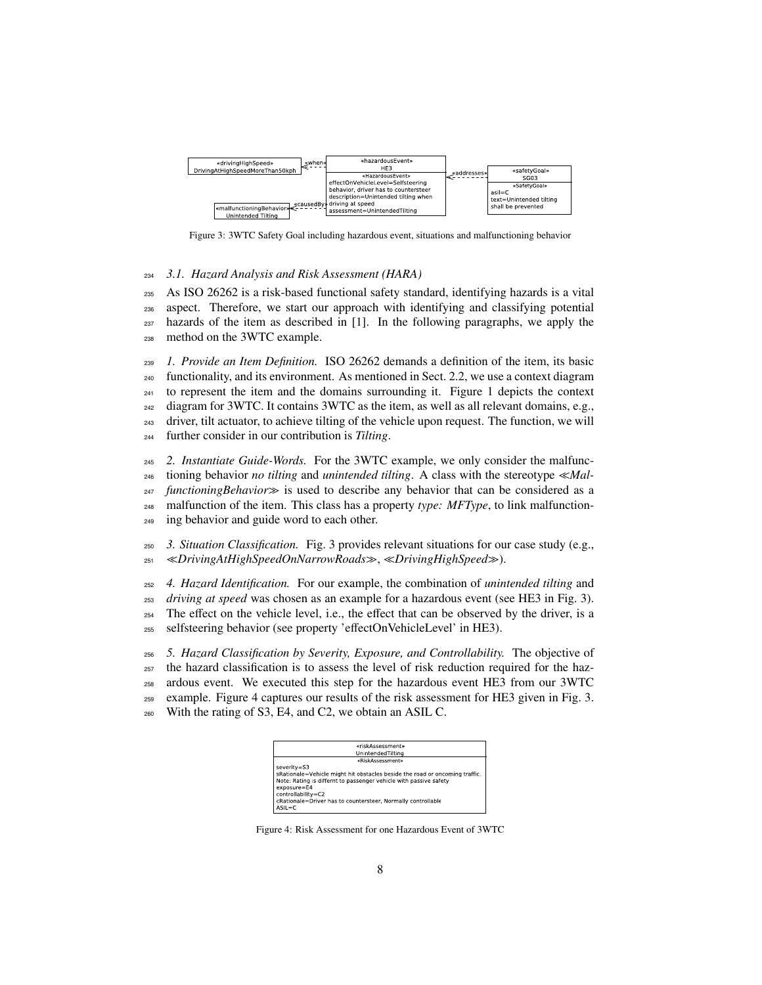

Figure 3: 3WTC Safety Goal including hazardous event, situations and malfunctioning behavior

## *3.1. Hazard Analysis and Risk Assessment (HARA)*

 As ISO 26262 is a risk-based functional safety standard, identifying hazards is a vital aspect. Therefore, we start our approach with identifying and classifying potential hazards of the item as described in [1]. In the following paragraphs, we apply the method on the 3WTC example.

 *1. Provide an Item Definition.* ISO 26262 demands a definition of the item, its basic functionality, and its environment. As mentioned in Sect. 2.2, we use a context diagram to represent the item and the domains surrounding it. Figure 1 depicts the context  $_{242}$  diagram for 3WTC. It contains 3WTC as the item, as well as all relevant domains, e.g., driver, tilt actuator, to achieve tilting of the vehicle upon request. The function, we will further consider in our contribution is *Tilting*.

 *2. Instantiate Guide-Words.* For the 3WTC example, we only consider the malfunc- tioning behavior *no tilting* and *unintended tilting*. A class with the stereotype *Mal- functioningBehavior* is used to describe any behavior that can be considered as a malfunction of the item. This class has a property *type: MFType*, to link malfunction-ing behavior and guide word to each other.

 *3. Situation Classification.* Fig. 3 provides relevant situations for our case study (e.g., *DrivingAtHighSpeedOnNarrowRoads*, *DrivingHighSpeed*).

 *4. Hazard Identification.* For our example, the combination of *unintended tilting* and *driving at speed* was chosen as an example for a hazardous event (see HE3 in Fig. 3). The effect on the vehicle level, i.e., the effect that can be observed by the driver, is a selfsteering behavior (see property 'effectOnVehicleLevel' in HE3).

 *5. Hazard Classification by Severity, Exposure, and Controllability.* The objective of the hazard classification is to assess the level of risk reduction required for the haz- ardous event. We executed this step for the hazardous event HE3 from our 3WTC example. Figure 4 captures our results of the risk assessment for HE3 given in Fig. 3. With the rating of S3, E4, and C2, we obtain an ASIL C.



Figure 4: Risk Assessment for one Hazardous Event of 3WTC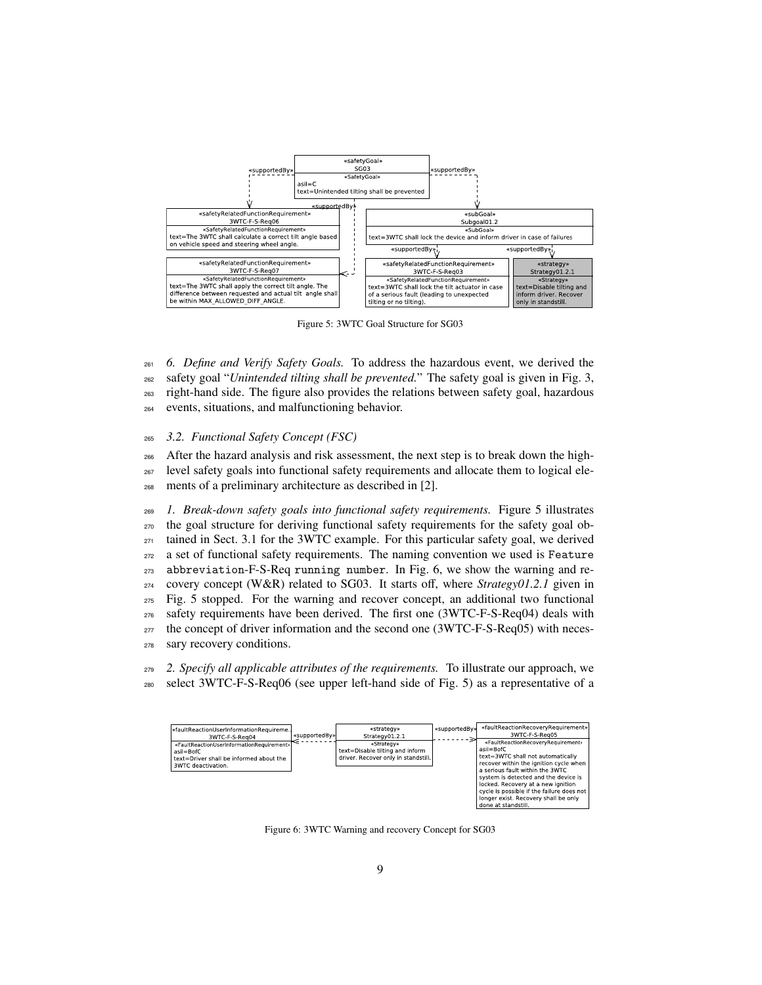

Figure 5: 3WTC Goal Structure for SG03

 *6. Define and Verify Safety Goals.* To address the hazardous event, we derived the safety goal "*Unintended tilting shall be prevented.*" The safety goal is given in Fig. 3, right-hand side. The figure also provides the relations between safety goal, hazardous events, situations, and malfunctioning behavior.

*3.2. Functional Safety Concept (FSC)*

 After the hazard analysis and risk assessment, the next step is to break down the high-<sub>267</sub> level safety goals into functional safety requirements and allocate them to logical ele-ments of a preliminary architecture as described in [2].

 *1. Break-down safety goals into functional safety requirements.* Figure 5 illustrates the goal structure for deriving functional safety requirements for the safety goal ob- tained in Sect. 3.1 for the 3WTC example. For this particular safety goal, we derived a set of functional safety requirements. The naming convention we used is Feature abbreviation-F-S-Req running number. In Fig. 6, we show the warning and re- covery concept (W&R) related to SG03. It starts off, where *Strategy01.2.1* given in Fig. 5 stopped. For the warning and recover concept, an additional two functional safety requirements have been derived. The first one (3WTC-F-S-Req04) deals with the concept of driver information and the second one (3WTC-F-S-Req05) with neces-sary recovery conditions.

 *2. Specify all applicable attributes of the requirements.* To illustrate our approach, we select 3WTC-F-S-Req06 (see upper left-hand side of Fig. 5) as a representative of a



Figure 6: 3WTC Warning and recovery Concept for SG03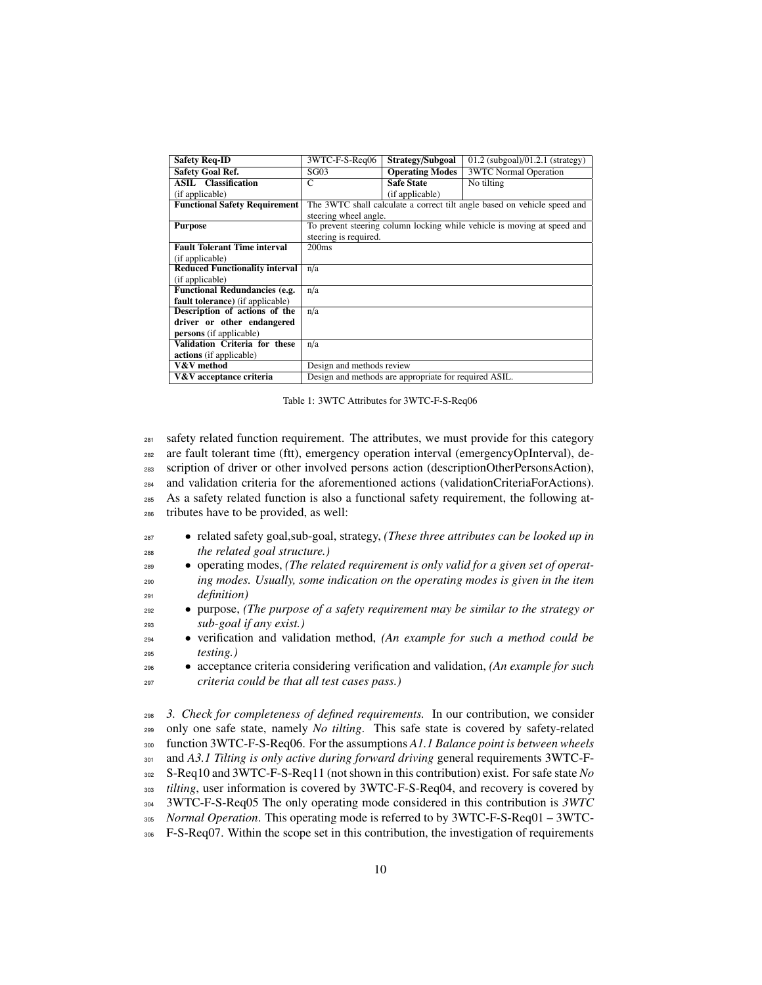| <b>Safety Req-ID</b>                  | 3WTC-F-S-Req06            | Strategy/Subgoal                                      | $01.2$ (subgoal)/01.2.1 (strategy)                                       |
|---------------------------------------|---------------------------|-------------------------------------------------------|--------------------------------------------------------------------------|
| <b>Safety Goal Ref.</b>               | SG <sub>03</sub>          | <b>Operating Modes</b>                                | <b>3WTC Normal Operation</b>                                             |
| <b>ASIL</b> Classification            | C                         | <b>Safe State</b>                                     | No tilting                                                               |
| (if applicable)                       |                           | (if applicable)                                       |                                                                          |
| <b>Functional Safety Requirement</b>  |                           |                                                       | The 3WTC shall calculate a correct tilt angle based on vehicle speed and |
|                                       | steering wheel angle.     |                                                       |                                                                          |
| <b>Purpose</b>                        |                           |                                                       | To prevent steering column locking while vehicle is moving at speed and  |
|                                       | steering is required.     |                                                       |                                                                          |
| <b>Fault Tolerant Time interval</b>   | 200ms                     |                                                       |                                                                          |
| (if applicable)                       |                           |                                                       |                                                                          |
| <b>Reduced Functionality interval</b> | n/a                       |                                                       |                                                                          |
| (if applicable)                       |                           |                                                       |                                                                          |
| <b>Functional Redundancies (e.g.</b>  | n/a                       |                                                       |                                                                          |
| fault tolerance) (if applicable)      |                           |                                                       |                                                                          |
| Description of actions of the         | n/a                       |                                                       |                                                                          |
| driver or other endangered            |                           |                                                       |                                                                          |
| <b>persons</b> (if applicable)        |                           |                                                       |                                                                          |
| Validation Criteria for these         | n/a                       |                                                       |                                                                          |
| <b>actions</b> (if applicable)        |                           |                                                       |                                                                          |
| V&V method                            | Design and methods review |                                                       |                                                                          |
| V&V acceptance criteria               |                           | Design and methods are appropriate for required ASIL. |                                                                          |

Table 1: 3WTC Attributes for 3WTC-F-S-Req06

<sup>281</sup> safety related function requirement. The attributes, we must provide for this category are fault tolerant time (ftt), emergency operation interval (emergencyOpInterval), de- scription of driver or other involved persons action (descriptionOtherPersonsAction), and validation criteria for the aforementioned actions (validationCriteriaForActions). As a safety related function is also a functional safety requirement, the following at-tributes have to be provided, as well:

- <sup>287</sup> related safety goal,sub-goal, strategy, *(These three attributes can be looked up in* <sup>288</sup> *the related goal structure.)*
- <sup>289</sup> operating modes, *(The related requirement is only valid for a given set of operat-*<sup>290</sup> *ing modes. Usually, some indication on the operating modes is given in the item* <sup>291</sup> *definition)*
- purpose, *(The purpose of a safety requirement may be similar to the strategy or* <sup>293</sup> *sub-goal if any exist.)*
- <sup>294</sup> verification and validation method, *(An example for such a method could be* <sup>295</sup> *testing.)*
- <sup>296</sup> acceptance criteria considering verification and validation, *(An example for such* <sup>297</sup> *criteria could be that all test cases pass.)*

 *3. Check for completeness of defined requirements.* In our contribution, we consider only one safe state, namely *No tilting*. This safe state is covered by safety-related function 3WTC-F-S-Req06. For the assumptions *A1.1 Balance point is between wheels* and *A3.1 Tilting is only active during forward driving* general requirements 3WTC-F- S-Req10 and 3WTC-F-S-Req11 (not shown in this contribution) exist. For safe state *No tilting*, user information is covered by 3WTC-F-S-Req04, and recovery is covered by 3WTC-F-S-Req05 The only operating mode considered in this contribution is *3WTC Normal Operation*. This operating mode is referred to by 3WTC-F-S-Req01 – 3WTC-306 F-S-Req07. Within the scope set in this contribution, the investigation of requirements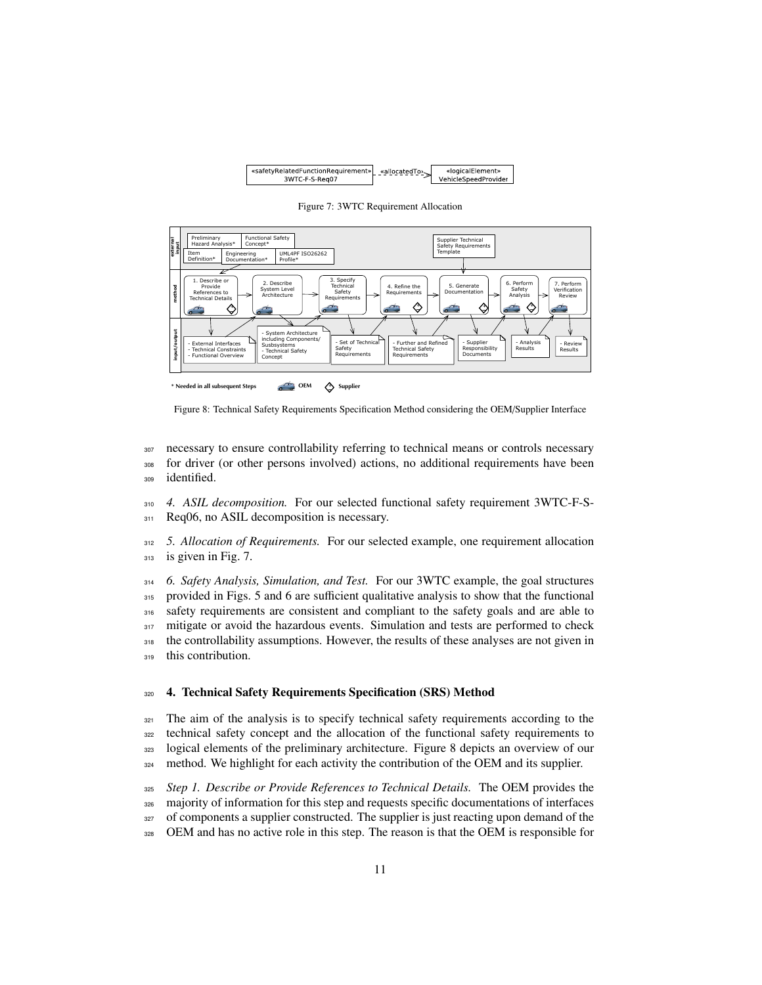

Figure 7: 3WTC Requirement Allocation



**\* Needed in all subsequent Steps**  $\overline{O}$  OEM + **Supplier**

Figure 8: Technical Safety Requirements Specification Method considering the OEM/Supplier Interface

<sup>307</sup> necessary to ensure controllability referring to technical means or controls necessary <sup>308</sup> for driver (or other persons involved) actions, no additional requirements have been <sup>309</sup> identified.

<sup>310</sup> *4. ASIL decomposition.* For our selected functional safety requirement 3WTC-F-S-311 Req06, no ASIL decomposition is necessary.

<sup>312</sup> *5. Allocation of Requirements.* For our selected example, one requirement allocation 313 is given in Fig. 7.

<sup>314</sup> *6. Safety Analysis, Simulation, and Test.* For our 3WTC example, the goal structures 315 provided in Figs. 5 and 6 are sufficient qualitative analysis to show that the functional 316 safety requirements are consistent and compliant to the safety goals and are able to 317 mitigate or avoid the hazardous events. Simulation and tests are performed to check 318 the controllability assumptions. However, the results of these analyses are not given in 319 this contribution.

## <sup>320</sup> 4. Technical Safety Requirements Specification (SRS) Method

<sup>321</sup> The aim of the analysis is to specify technical safety requirements according to the technical safety concept and the allocation of the functional safety requirements to logical elements of the preliminary architecture. Figure 8 depicts an overview of our method. We highlight for each activity the contribution of the OEM and its supplier.

 *Step 1. Describe or Provide References to Technical Details.* The OEM provides the majority of information for this step and requests specific documentations of interfaces <sup>327</sup> of components a supplier constructed. The supplier is just reacting upon demand of the OEM and has no active role in this step. The reason is that the OEM is responsible for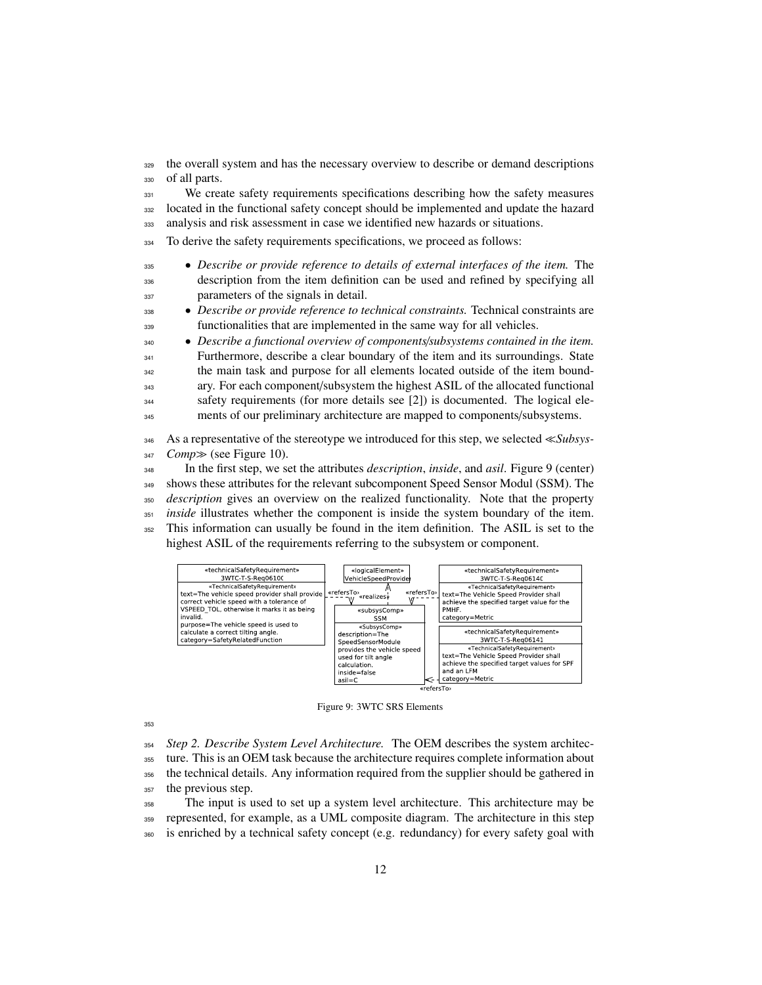<sup>329</sup> the overall system and has the necessary overview to describe or demand descriptions of all parts.

<sup>331</sup> We create safety requirements specifications describing how the safety measures located in the functional safety concept should be implemented and update the hazard analysis and risk assessment in case we identified new hazards or situations.

To derive the safety requirements specifications, we proceed as follows:

- *Describe or provide reference to details of external interfaces of the item.* The description from the item definition can be used and refined by specifying all parameters of the signals in detail.
- *Describe or provide reference to technical constraints.* Technical constraints are functionalities that are implemented in the same way for all vehicles.

 • *Describe a functional overview of components*/*subsystems contained in the item.* <sup>341</sup> Furthermore, describe a clear boundary of the item and its surroundings. State the main task and purpose for all elements located outside of the item boundary. For each component/subsystem the highest ASIL of the allocated functional safety requirements (for more details see [2]) is documented. The logical ele-

ments of our preliminary architecture are mapped to components/subsystems.

 As a representative of the stereotype we introduced for this step, we selected *Subsys-* $_{347}$  *Comp* $\gg$  (see Figure 10).

 In the first step, we set the attributes *description*, *inside*, and *asil*. Figure 9 (center) 349 shows these attributes for the relevant subcomponent Speed Sensor Modul (SSM). The *description* gives an overview on the realized functionality. Note that the property *inside* illustrates whether the component is inside the system boundary of the item. This information can usually be found in the item definition. The ASIL is set to the

highest ASIL of the requirements referring to the subsystem or component.



Figure 9: 3WTC SRS Elements

 *Step 2. Describe System Level Architecture.* The OEM describes the system architec- ture. This is an OEM task because the architecture requires complete information about the technical details. Any information required from the supplier should be gathered in 357 the previous step.

 The input is used to set up a system level architecture. This architecture may be represented, for example, as a UML composite diagram. The architecture in this step is enriched by a technical safety concept (e.g. redundancy) for every safety goal with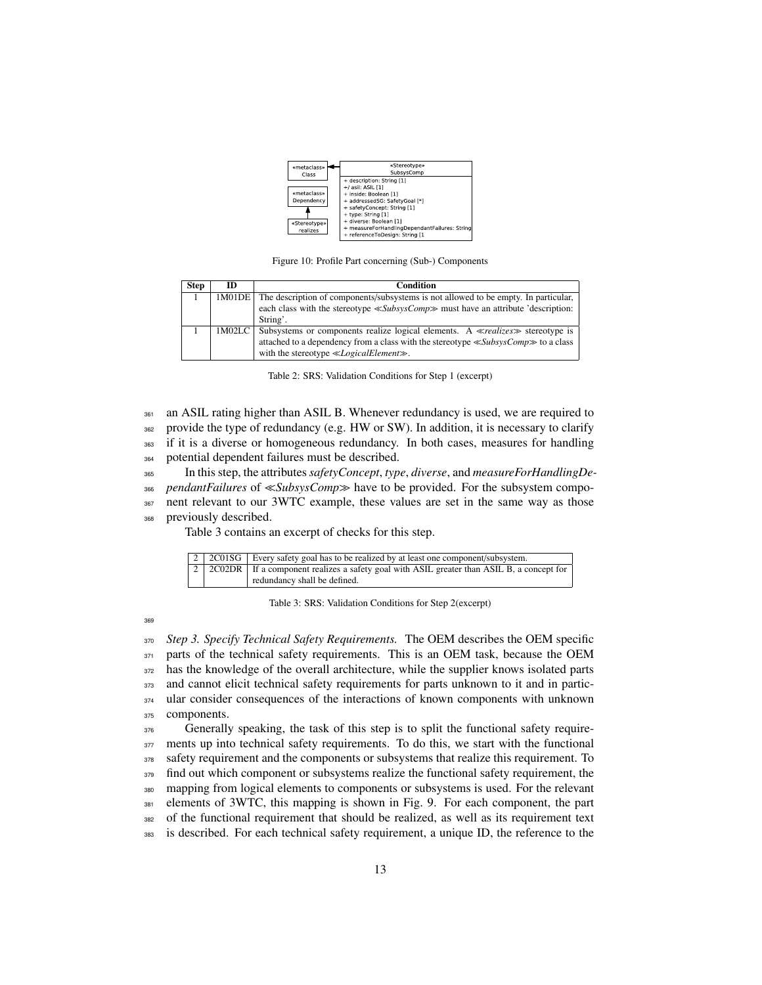

Figure 10: Profile Part concerning (Sub-) Components

| Step | ID     | Condition                                                                                   |
|------|--------|---------------------------------------------------------------------------------------------|
|      | 1M01DE | The description of components/subsystems is not allowed to be empty. In particular,         |
|      |        | each class with the stereotype $\ll$ SubsysComp $\gg$ must have an attribute 'description:  |
|      |        | String'.                                                                                    |
|      | 1M02LC | Subsystems or components realize logical elements. A $\ll$ realizes $\gg$ stereotype is     |
|      |        | attached to a dependency from a class with the stereotype $\ll$ SubsysComp $\gg$ to a class |
|      |        | with the stereotype $\ll$ <i>LogicalElement</i> $\gg$ .                                     |

Table 2: SRS: Validation Conditions for Step 1 (excerpt)

<sup>361</sup> an ASIL rating higher than ASIL B. Whenever redundancy is used, we are required to provide the type of redundancy (e.g. HW or SW). In addition, it is necessary to clarify if it is a diverse or homogeneous redundancy. In both cases, measures for handling potential dependent failures must be described.

 In this step, the attributes*safetyConcept*, *type*, *diverse*, and *measureForHandlingDe- pendantFailures* of *SubsysComp* have to be provided. For the subsystem compo- nent relevant to our 3WTC example, these values are set in the same way as those previously described.

Table 3 contains an excerpt of checks for this step.

|  | 2   2C01SG   Every safety goal has to be realized by at least one component/subsystem.      |
|--|---------------------------------------------------------------------------------------------|
|  | 2 2C02DR If a component realizes a safety goal with ASIL greater than ASIL B, a concept for |
|  | redundancy shall be defined.                                                                |

Table 3: SRS: Validation Conditions for Step 2(excerpt)

369

<sup>370</sup> *Step 3. Specify Technical Safety Requirements.* The OEM describes the OEM specific 371 parts of the technical safety requirements. This is an OEM task, because the OEM <sup>372</sup> has the knowledge of the overall architecture, while the supplier knows isolated parts 373 and cannot elicit technical safety requirements for parts unknown to it and in partic-<sup>374</sup> ular consider consequences of the interactions of known components with unknown 375 components.

<sub>376</sub> Generally speaking, the task of this step is to split the functional safety require- ments up into technical safety requirements. To do this, we start with the functional safety requirement and the components or subsystems that realize this requirement. To <sup>379</sup> find out which component or subsystems realize the functional safety requirement, the mapping from logical elements to components or subsystems is used. For the relevant elements of 3WTC, this mapping is shown in Fig. 9. For each component, the part of the functional requirement that should be realized, as well as its requirement text is described. For each technical safety requirement, a unique ID, the reference to the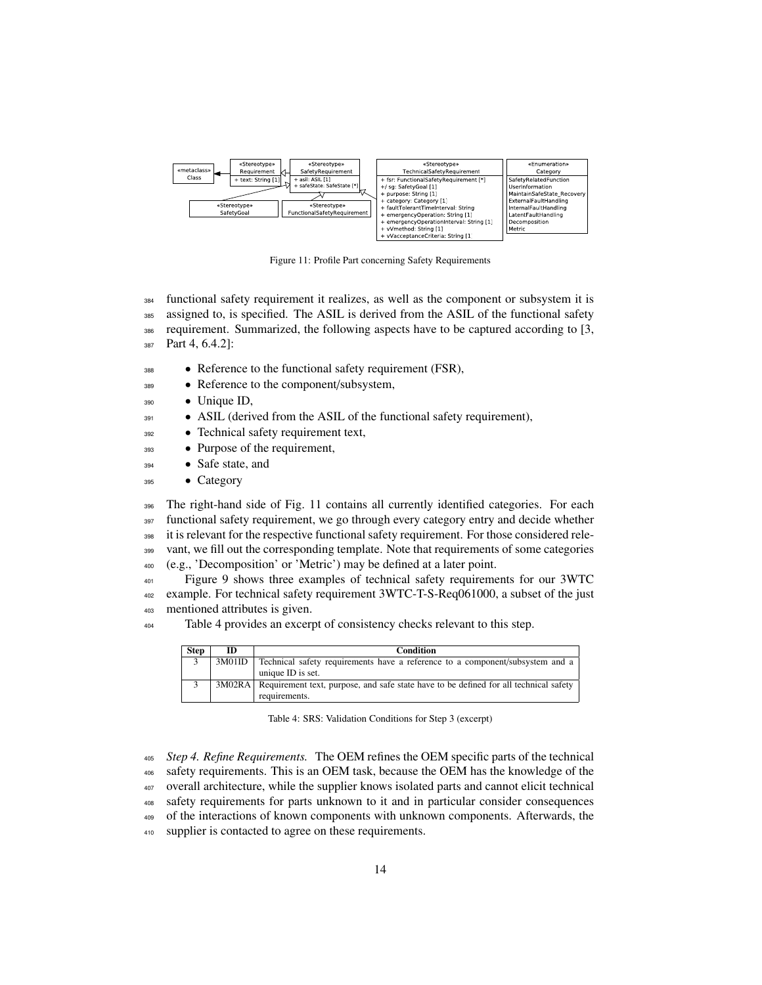

Figure 11: Profile Part concerning Safety Requirements

 functional safety requirement it realizes, as well as the component or subsystem it is assigned to, is specified. The ASIL is derived from the ASIL of the functional safety <sup>386</sup> requirement. Summarized, the following aspects have to be captured according to [3, Part 4, 6.4.2]:

- **Reference to the functional safety requirement (FSR),**
- Reference to the component/subsystem,
- Unique ID,
- 391 ASIL (derived from the ASIL of the functional safety requirement),
- Technical safety requirement text,
- Purpose of the requirement,
- Safe state, and
- Category

 The right-hand side of Fig. 11 contains all currently identified categories. For each 397 functional safety requirement, we go through every category entry and decide whether it is relevant for the respective functional safety requirement. For those considered rele- vant, we fill out the corresponding template. Note that requirements of some categories (e.g., 'Decomposition' or 'Metric') may be defined at a later point.

 Figure 9 shows three examples of technical safety requirements for our 3WTC example. For technical safety requirement 3WTC-T-S-Req061000, a subset of the just mentioned attributes is given.

Table 4 provides an excerpt of consistency checks relevant to this step.

| <b>Step</b>        | ID     | Condition                                                                                    |
|--------------------|--------|----------------------------------------------------------------------------------------------|
| $\mathbf{\hat{z}}$ | 3M01ID | Technical safety requirements have a reference to a component/subsystem and a                |
|                    |        | unique ID is set.                                                                            |
|                    |        | 3M02RA Requirement text, purpose, and safe state have to be defined for all technical safety |
|                    |        | requirements.                                                                                |

Table 4: SRS: Validation Conditions for Step 3 (excerpt)

 *Step 4. Refine Requirements.* The OEM refines the OEM specific parts of the technical safety requirements. This is an OEM task, because the OEM has the knowledge of the overall architecture, while the supplier knows isolated parts and cannot elicit technical safety requirements for parts unknown to it and in particular consider consequences of the interactions of known components with unknown components. Afterwards, the 410 supplier is contacted to agree on these requirements.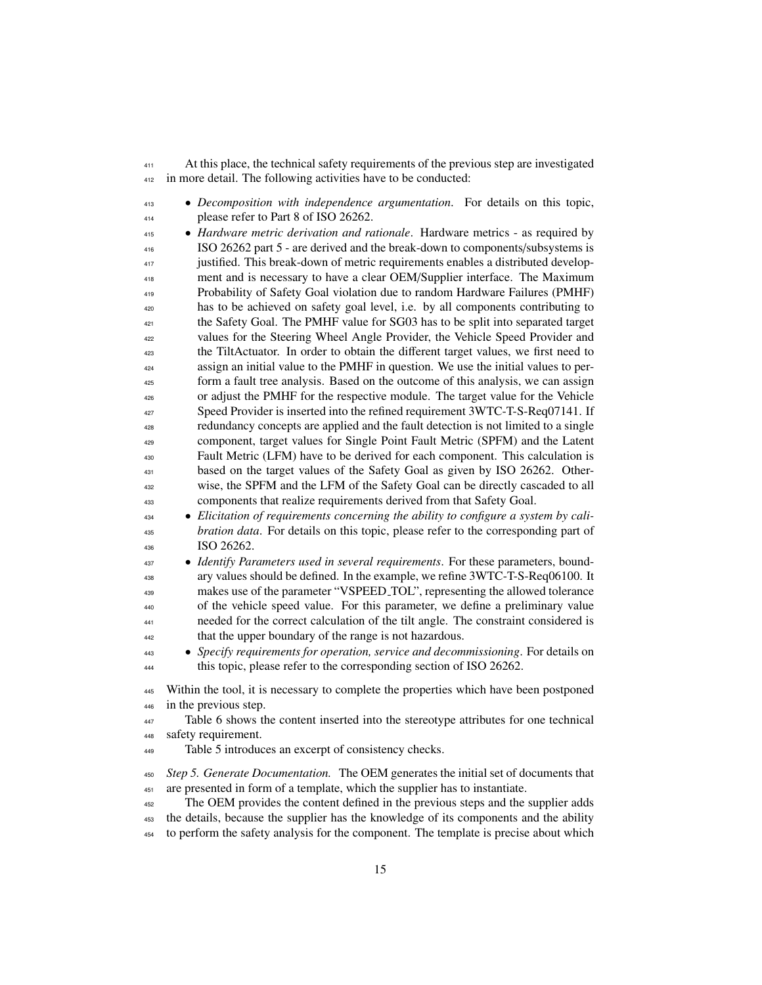At this place, the technical safety requirements of the previous step are investigated in more detail. The following activities have to be conducted:

 • *Decomposition with independence argumentation*. For details on this topic, please refer to Part 8 of ISO 26262.

 • *Hardware metric derivation and rationale*. Hardware metrics - as required by ISO 26262 part 5 - are derived and the break-down to components/subsystems is justified. This break-down of metric requirements enables a distributed develop- ment and is necessary to have a clear OEM/Supplier interface. The Maximum Probability of Safety Goal violation due to random Hardware Failures (PMHF) has to be achieved on safety goal level, i.e. by all components contributing to the Safety Goal. The PMHF value for SG03 has to be split into separated target values for the Steering Wheel Angle Provider, the Vehicle Speed Provider and the TiltActuator. In order to obtain the different target values, we first need to assign an initial value to the PMHF in question. We use the initial values to per- form a fault tree analysis. Based on the outcome of this analysis, we can assign or adjust the PMHF for the respective module. The target value for the Vehicle Speed Provider is inserted into the refined requirement 3WTC-T-S-Req07141. If redundancy concepts are applied and the fault detection is not limited to a single component, target values for Single Point Fault Metric (SPFM) and the Latent Fault Metric (LFM) have to be derived for each component. This calculation is based on the target values of the Safety Goal as given by ISO 26262. Other- wise, the SPFM and the LFM of the Safety Goal can be directly cascaded to all components that realize requirements derived from that Safety Goal.

- *Elicitation of requirements concerning the ability to configure a system by cali- bration data*. For details on this topic, please refer to the corresponding part of ISO 26262.
- *Identify Parameters used in several requirements*. For these parameters, boundary values should be defined. In the example, we refine 3WTC-T-S-Req06100. It makes use of the parameter "VSPEED TOL", representing the allowed tolerance of the vehicle speed value. For this parameter, we define a preliminary value needed for the correct calculation of the tilt angle. The constraint considered is that the upper boundary of the range is not hazardous.

 • *Specify requirements for operation, service and decommissioning*. For details on this topic, please refer to the corresponding section of ISO 26262.

 Within the tool, it is necessary to complete the properties which have been postponed in the previous step.

 Table 6 shows the content inserted into the stereotype attributes for one technical safety requirement.

Table 5 introduces an excerpt of consistency checks.

 *Step 5. Generate Documentation.* The OEM generates the initial set of documents that are presented in form of a template, which the supplier has to instantiate.

 The OEM provides the content defined in the previous steps and the supplier adds the details, because the supplier has the knowledge of its components and the ability to perform the safety analysis for the component. The template is precise about which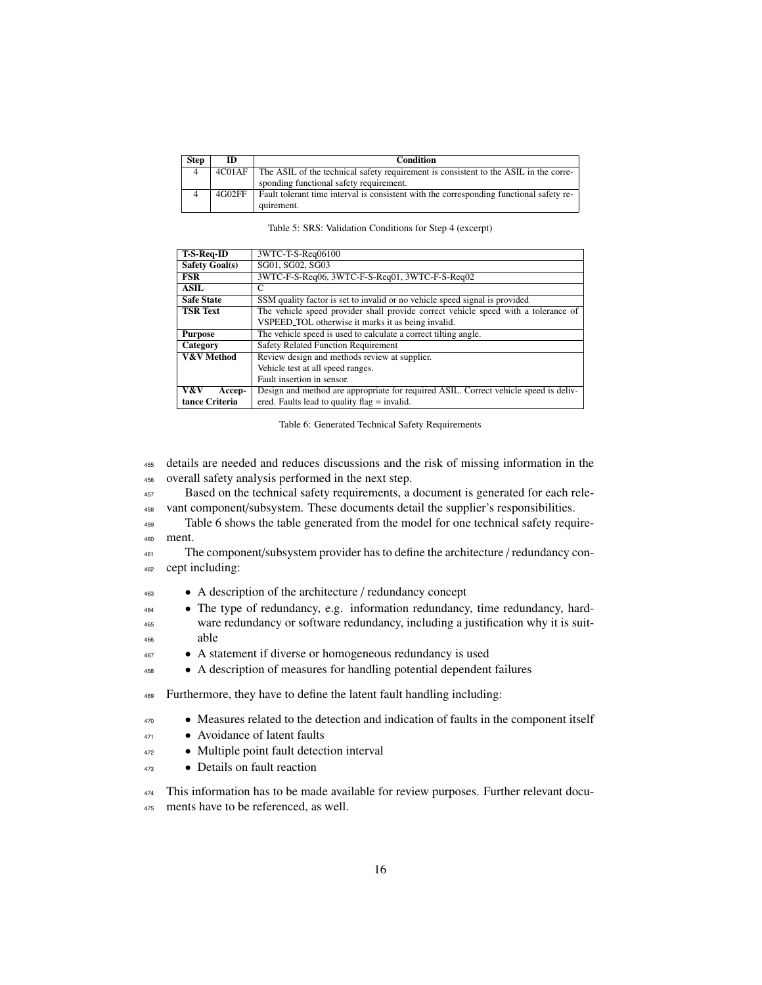| <b>Step</b> | ID     | Condition                                                                               |
|-------------|--------|-----------------------------------------------------------------------------------------|
|             | 4CO1AF | The ASIL of the technical safety requirement is consistent to the ASIL in the corre-    |
|             |        | sponding functional safety requirement.                                                 |
|             | 4G02FF | Fault tolerant time interval is consistent with the corresponding functional safety re- |
|             |        | quirement.                                                                              |

Table 5: SRS: Validation Conditions for Step 4 (excerpt)

| <b>T-S-Req-ID</b>     | 3WTC-T-S-Req06100                                                                    |
|-----------------------|--------------------------------------------------------------------------------------|
| <b>Safety Goal(s)</b> | SG01, SG02, SG03                                                                     |
| <b>FSR</b>            | 3WTC-F-S-Req06, 3WTC-F-S-Req01, 3WTC-F-S-Req02                                       |
| ASIL                  | C                                                                                    |
| <b>Safe State</b>     | SSM quality factor is set to invalid or no vehicle speed signal is provided          |
| <b>TSR Text</b>       | The vehicle speed provider shall provide correct vehicle speed with a tolerance of   |
|                       | VSPEED_TOL otherwise it marks it as being invalid.                                   |
| <b>Purpose</b>        | The vehicle speed is used to calculate a correct tilting angle.                      |
| Category              | <b>Safety Related Function Requirement</b>                                           |
| <b>V&amp;V</b> Method | Review design and methods review at supplier.                                        |
|                       | Vehicle test at all speed ranges.                                                    |
|                       | Fault insertion in sensor.                                                           |
| V&V<br>Accep-         | Design and method are appropriate for required ASIL. Correct vehicle speed is deliv- |
| tance Criteria        | ered. Faults lead to quality $flag = invalid$ .                                      |

Table 6: Generated Technical Safety Requirements

<sup>455</sup> details are needed and reduces discussions and the risk of missing information in the <sup>456</sup> overall safety analysis performed in the next step.

<sup>457</sup> Based on the technical safety requirements, a document is generated for each rele-<sup>458</sup> vant component/subsystem. These documents detail the supplier's responsibilities.

Table 6 shows the table generated from the model for one technical safety require-<sup>460</sup> ment.

<sup>461</sup> The component/subsystem provider has to define the architecture / redundancy con-<sup>462</sup> cept including:

- <sup>463</sup> A description of the architecture / redundancy concept
- <sup>464</sup> The type of redundancy, e.g. information redundancy, time redundancy, hard-
- <sup>465</sup> ware redundancy or software redundancy, including a justification why it is suit-<sup>466</sup> able
- <sup>467</sup> A statement if diverse or homogeneous redundancy is used
- <sup>468</sup> A description of measures for handling potential dependent failures

<sup>469</sup> Furthermore, they have to define the latent fault handling including:

- <sup>470</sup> Measures related to the detection and indication of faults in the component itself
- <sup>471</sup> Avoidance of latent faults
- <sup>472</sup> Multiple point fault detection interval
- <sup>473</sup> Details on fault reaction

<sup>474</sup> This information has to be made available for review purposes. Further relevant docu-

<sup>475</sup> ments have to be referenced, as well.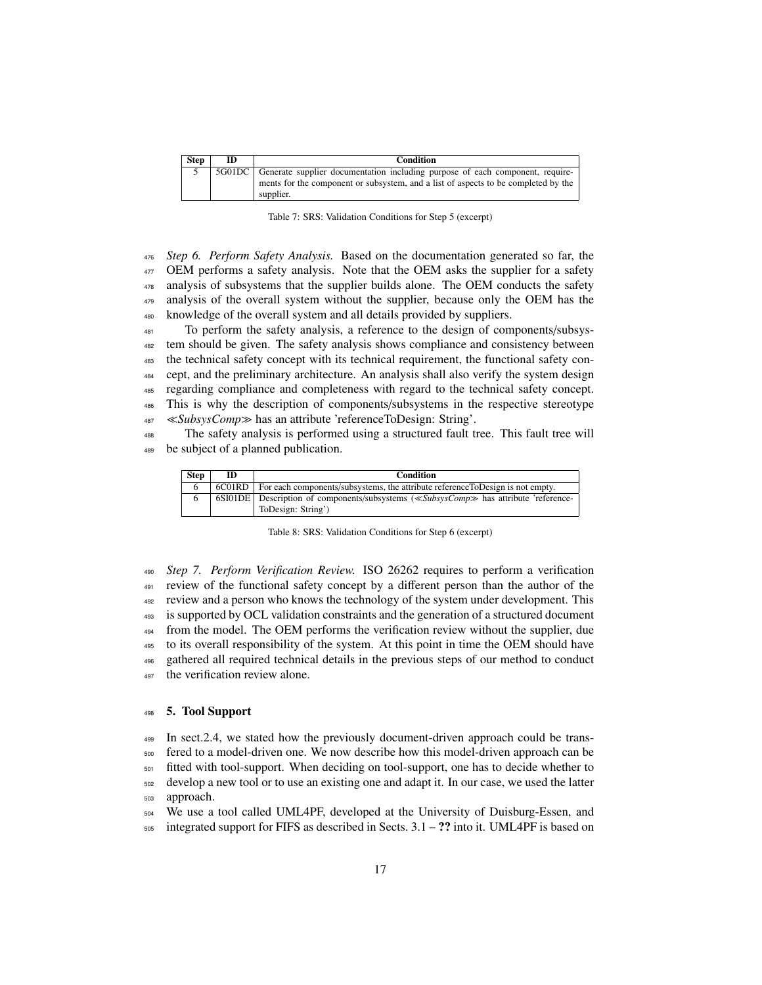| <b>Step</b> | ID | Condition                                                                                       |
|-------------|----|-------------------------------------------------------------------------------------------------|
|             |    | 5G01DC Generate supplier documentation including purpose of each component, require-            |
|             |    | ments for the component or subsystem, and a list of aspects to be completed by the<br>supplier. |

Table 7: SRS: Validation Conditions for Step 5 (excerpt)

 *Step 6. Perform Safety Analysis.* Based on the documentation generated so far, the OEM performs a safety analysis. Note that the OEM asks the supplier for a safety analysis of subsystems that the supplier builds alone. The OEM conducts the safety 479 analysis of the overall system without the supplier, because only the OEM has the knowledge of the overall system and all details provided by suppliers.

 To perform the safety analysis, a reference to the design of components/subsys- tem should be given. The safety analysis shows compliance and consistency between the technical safety concept with its technical requirement, the functional safety con- cept, and the preliminary architecture. An analysis shall also verify the system design regarding compliance and completeness with regard to the technical safety concept. This is why the description of components/subsystems in the respective stereotype *SubsysComp* has an attribute 'referenceToDesign: String'.

 The safety analysis is performed using a structured fault tree. This fault tree will be subject of a planned publication.

| <b>Step</b> | ID | <b>Condition</b>                                                                                          |
|-------------|----|-----------------------------------------------------------------------------------------------------------|
|             |    | $6C01RD$ For each components/subsystems, the attribute reference ToDesign is not empty.                   |
|             |    | $6\text{SI01DE}$ Description of components/subsystems ( $\ll$ Subsys $Comp \gg$ has attribute 'reference- |
|             |    | ToDesign: String')                                                                                        |

Table 8: SRS: Validation Conditions for Step 6 (excerpt)

 *Step 7. Perform Verification Review.* ISO 26262 requires to perform a verification review of the functional safety concept by a different person than the author of the review and a person who knows the technology of the system under development. This is supported by OCL validation constraints and the generation of a structured document from the model. The OEM performs the verification review without the supplier, due to its overall responsibility of the system. At this point in time the OEM should have gathered all required technical details in the previous steps of our method to conduct the verification review alone.

# 5. Tool Support

<sup>499</sup> In sect. 2.4, we stated how the previously document-driven approach could be trans- fered to a model-driven one. We now describe how this model-driven approach can be fitted with tool-support. When deciding on tool-support, one has to decide whether to develop a new tool or to use an existing one and adapt it. In our case, we used the latter approach. We use a tool called UML4PF, developed at the University of Duisburg-Essen, and

integrated support for FIFS as described in Sects. 3.1 – ?? into it. UML4PF is based on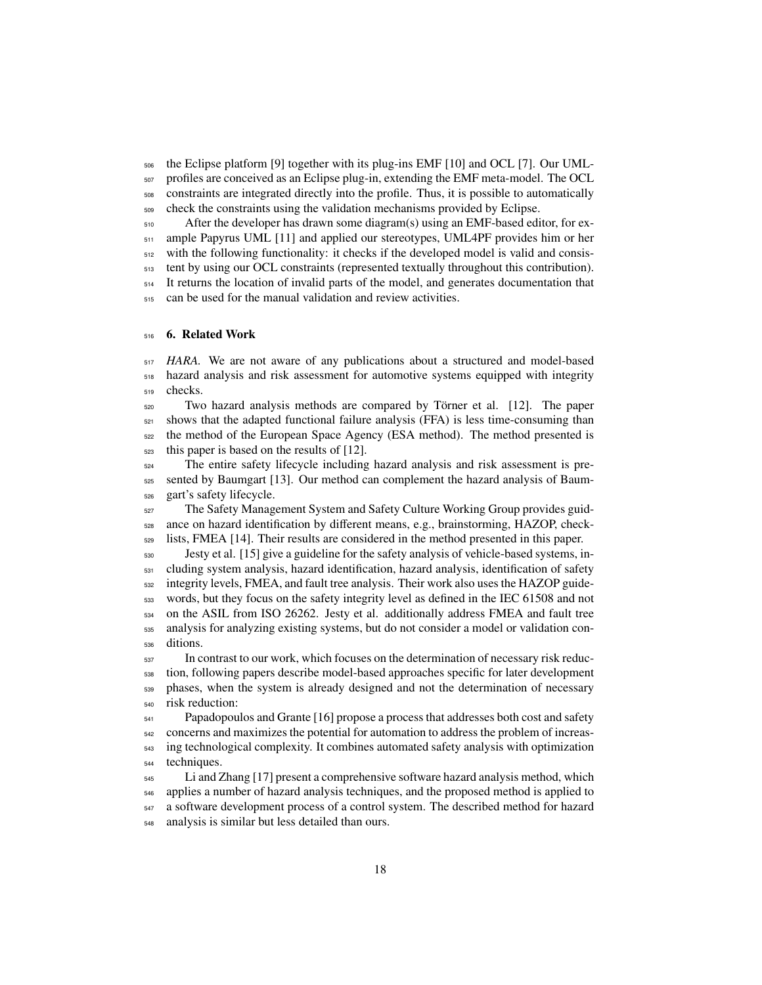the Eclipse platform [9] together with its plug-ins EMF [10] and OCL [7]. Our UML- profiles are conceived as an Eclipse plug-in, extending the EMF meta-model. The OCL constraints are integrated directly into the profile. Thus, it is possible to automatically check the constraints using the validation mechanisms provided by Eclipse.

 After the developer has drawn some diagram(s) using an EMF-based editor, for ex- ample Papyrus UML [11] and applied our stereotypes, UML4PF provides him or her with the following functionality: it checks if the developed model is valid and consis- tent by using our OCL constraints (represented textually throughout this contribution). It returns the location of invalid parts of the model, and generates documentation that can be used for the manual validation and review activities.

#### 6. Related Work

 $<sub>517</sub>$  *HARA*. We are not aware of any publications about a structured and model-based</sub> hazard analysis and risk assessment for automotive systems equipped with integrity checks.

Two hazard analysis methods are compared by Törner et al. [12]. The paper shows that the adapted functional failure analysis (FFA) is less time-consuming than the method of the European Space Agency (ESA method). The method presented is this paper is based on the results of [12].

The entire safety lifecycle including hazard analysis and risk assessment is pre- sented by Baumgart [13]. Our method can complement the hazard analysis of Baum-gart's safety lifecycle.

 The Safety Management System and Safety Culture Working Group provides guid- ance on hazard identification by different means, e.g., brainstorming, HAZOP, check-lists, FMEA [14]. Their results are considered in the method presented in this paper.

 Jesty et al. [15] give a guideline for the safety analysis of vehicle-based systems, in- cluding system analysis, hazard identification, hazard analysis, identification of safety integrity levels, FMEA, and fault tree analysis. Their work also uses the HAZOP guide- words, but they focus on the safety integrity level as defined in the IEC 61508 and not on the ASIL from ISO 26262. Jesty et al. additionally address FMEA and fault tree analysis for analyzing existing systems, but do not consider a model or validation con-ditions.

 In contrast to our work, which focuses on the determination of necessary risk reduc- tion, following papers describe model-based approaches specific for later development phases, when the system is already designed and not the determination of necessary risk reduction:

 Papadopoulos and Grante [16] propose a process that addresses both cost and safety concerns and maximizes the potential for automation to address the problem of increas- ing technological complexity. It combines automated safety analysis with optimization techniques.

 Li and Zhang [17] present a comprehensive software hazard analysis method, which applies a number of hazard analysis techniques, and the proposed method is applied to a software development process of a control system. The described method for hazard analysis is similar but less detailed than ours.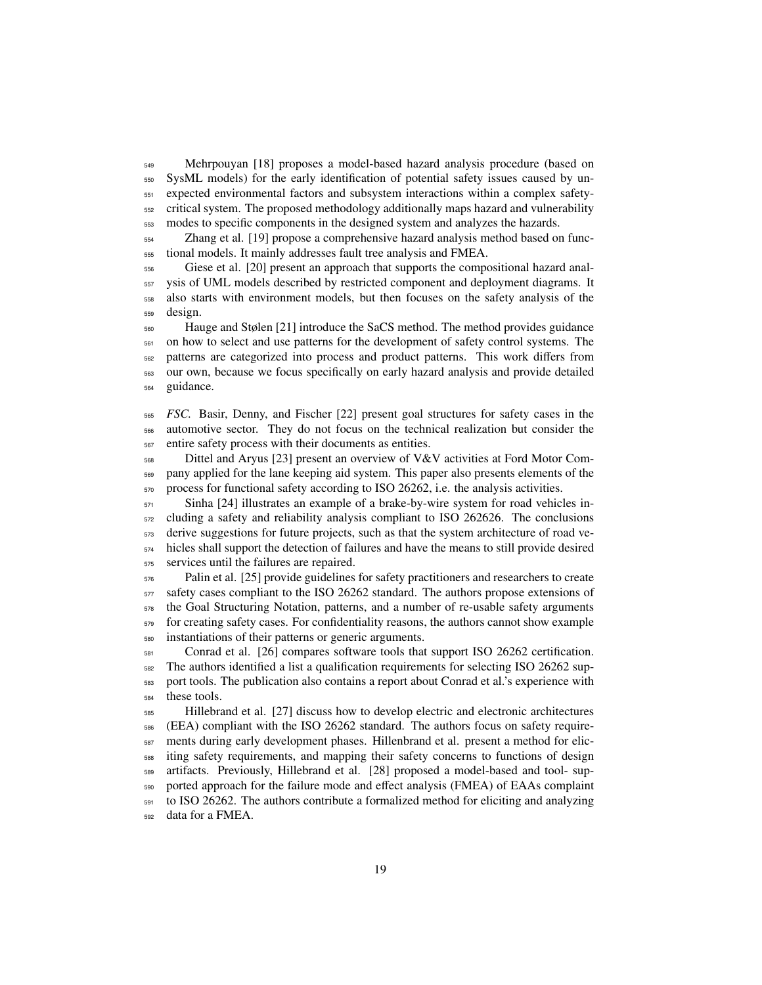Mehrpouyan [18] proposes a model-based hazard analysis procedure (based on SysML models) for the early identification of potential safety issues caused by un- expected environmental factors and subsystem interactions within a complex safety- critical system. The proposed methodology additionally maps hazard and vulnerability modes to specific components in the designed system and analyzes the hazards.

 Zhang et al. [19] propose a comprehensive hazard analysis method based on func-tional models. It mainly addresses fault tree analysis and FMEA.

Giese et al. [20] present an approach that supports the compositional hazard anal- ysis of UML models described by restricted component and deployment diagrams. It also starts with environment models, but then focuses on the safety analysis of the design.

 Hauge and Stølen [21] introduce the SaCS method. The method provides guidance on how to select and use patterns for the development of safety control systems. The patterns are categorized into process and product patterns. This work differs from our own, because we focus specifically on early hazard analysis and provide detailed guidance.

 *FSC.* Basir, Denny, and Fischer [22] present goal structures for safety cases in the automotive sector. They do not focus on the technical realization but consider the entire safety process with their documents as entities.

 Dittel and Aryus [23] present an overview of V&V activities at Ford Motor Com- pany applied for the lane keeping aid system. This paper also presents elements of the process for functional safety according to ISO 26262, i.e. the analysis activities.

 Sinha [24] illustrates an example of a brake-by-wire system for road vehicles in- cluding a safety and reliability analysis compliant to ISO 262626. The conclusions derive suggestions for future projects, such as that the system architecture of road ve- hicles shall support the detection of failures and have the means to still provide desired services until the failures are repaired.

 Palin et al. [25] provide guidelines for safety practitioners and researchers to create safety cases compliant to the ISO 26262 standard. The authors propose extensions of the Goal Structuring Notation, patterns, and a number of re-usable safety arguments for creating safety cases. For confidentiality reasons, the authors cannot show example instantiations of their patterns or generic arguments.

 Conrad et al. [26] compares software tools that support ISO 26262 certification. The authors identified a list a qualification requirements for selecting ISO 26262 sup- port tools. The publication also contains a report about Conrad et al.'s experience with these tools.

 Hillebrand et al. [27] discuss how to develop electric and electronic architectures (EEA) compliant with the ISO 26262 standard. The authors focus on safety require- ments during early development phases. Hillenbrand et al. present a method for elic-<sub>588</sub> iting safety requirements, and mapping their safety concerns to functions of design artifacts. Previously, Hillebrand et al. [28] proposed a model-based and tool- supported approach for the failure mode and effect analysis (FMEA) of EAAs complaint to ISO 26262. The authors contribute a formalized method for eliciting and analyzing data for a FMEA.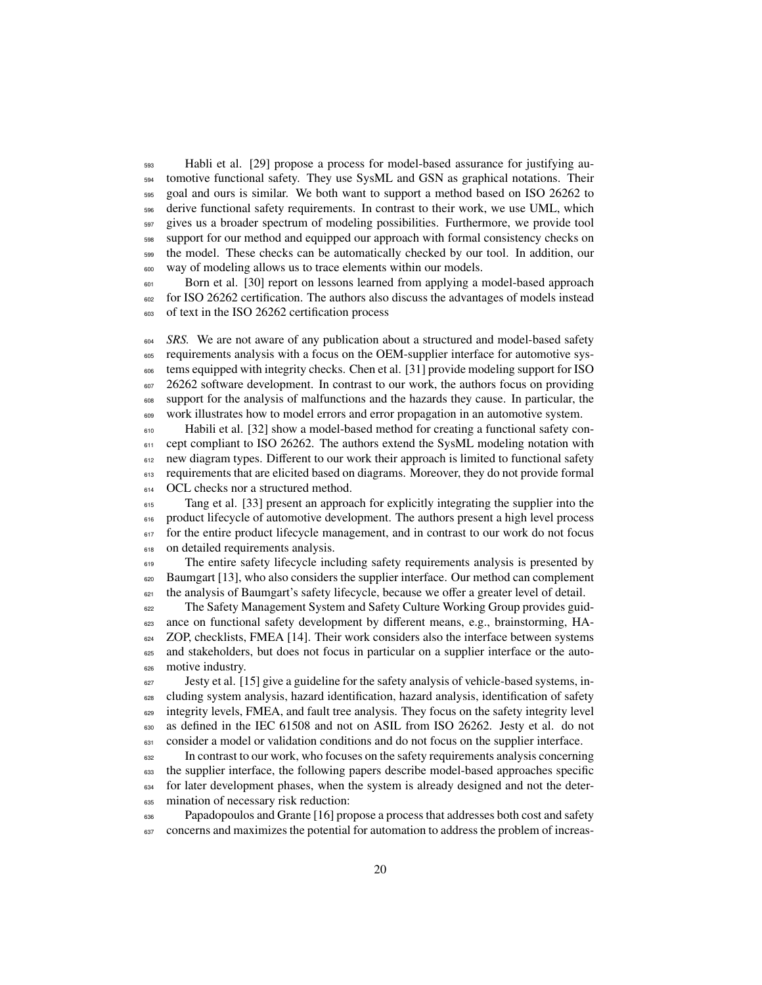Habli et al. [29] propose a process for model-based assurance for justifying au- tomotive functional safety. They use SysML and GSN as graphical notations. Their goal and ours is similar. We both want to support a method based on ISO 26262 to derive functional safety requirements. In contrast to their work, we use UML, which gives us a broader spectrum of modeling possibilities. Furthermore, we provide tool <sub>598</sub> support for our method and equipped our approach with formal consistency checks on <sub>599</sub> the model. These checks can be automatically checked by our tool. In addition, our way of modeling allows us to trace elements within our models.

 Born et al. [30] report on lessons learned from applying a model-based approach for ISO 26262 certification. The authors also discuss the advantages of models instead of text in the ISO 26262 certification process

 *SRS.* We are not aware of any publication about a structured and model-based safety <sub>605</sub> requirements analysis with a focus on the OEM-supplier interface for automotive sys- tems equipped with integrity checks. Chen et al. [31] provide modeling support for ISO 26262 software development. In contrast to our work, the authors focus on providing support for the analysis of malfunctions and the hazards they cause. In particular, the work illustrates how to model errors and error propagation in an automotive system.

 Habili et al. [32] show a model-based method for creating a functional safety con- cept compliant to ISO 26262. The authors extend the SysML modeling notation with new diagram types. Different to our work their approach is limited to functional safety requirements that are elicited based on diagrams. Moreover, they do not provide formal <sup>614</sup> OCL checks nor a structured method.

 $F_{615}$  Tang et al. [33] present an approach for explicitly integrating the supplier into the product lifecycle of automotive development. The authors present a high level process for the entire product lifecycle management, and in contrast to our work do not focus on detailed requirements analysis.

<sup>619</sup> The entire safety lifecycle including safety requirements analysis is presented by Baumgart [13], who also considers the supplier interface. Our method can complement 621 the analysis of Baumgart's safety lifecycle, because we offer a greater level of detail.

 The Safety Management System and Safety Culture Working Group provides guidance on functional safety development by different means, e.g., brainstorming, HA- ZOP, checklists, FMEA [14]. Their work considers also the interface between systems and stakeholders, but does not focus in particular on a supplier interface or the auto-motive industry.

 $\frac{627}{2}$  Jesty et al. [15] give a guideline for the safety analysis of vehicle-based systems, in- cluding system analysis, hazard identification, hazard analysis, identification of safety integrity levels, FMEA, and fault tree analysis. They focus on the safety integrity level as defined in the IEC 61508 and not on ASIL from ISO 26262. Jesty et al. do not 631 consider a model or validation conditions and do not focus on the supplier interface.

 In contrast to our work, who focuses on the safety requirements analysis concerning the supplier interface, the following papers describe model-based approaches specific for later development phases, when the system is already designed and not the deter-mination of necessary risk reduction:

 Papadopoulos and Grante [16] propose a process that addresses both cost and safety concerns and maximizes the potential for automation to address the problem of increas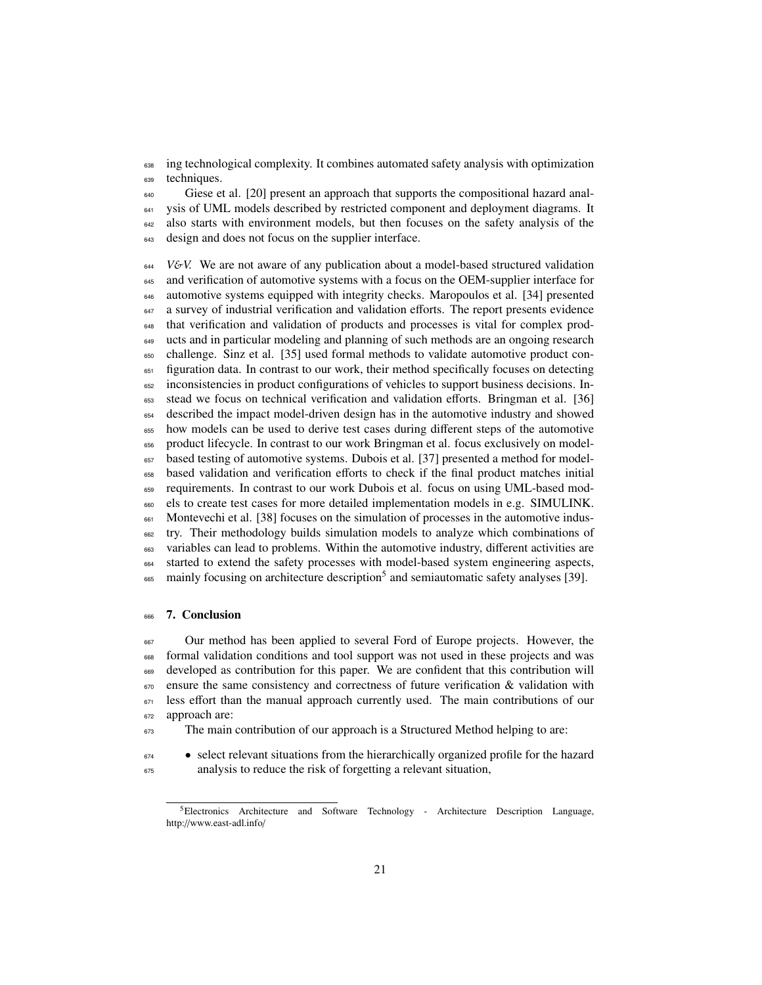ing technological complexity. It combines automated safety analysis with optimization techniques.

 Giese et al. [20] present an approach that supports the compositional hazard anal- ysis of UML models described by restricted component and deployment diagrams. It also starts with environment models, but then focuses on the safety analysis of the design and does not focus on the supplier interface.

 *V*&*V.* We are not aware of any publication about a model-based structured validation and verification of automotive systems with a focus on the OEM-supplier interface for <sup>646</sup> automotive systems equipped with integrity checks. Maropoulos et al. [34] presented a survey of industrial verification and validation efforts. The report presents evidence that verification and validation of products and processes is vital for complex prod- ucts and in particular modeling and planning of such methods are an ongoing research challenge. Sinz et al. [35] used formal methods to validate automotive product con-651 figuration data. In contrast to our work, their method specifically focuses on detecting inconsistencies in product configurations of vehicles to support business decisions. Instead we focus on technical verification and validation efforts. Bringman et al. [36] described the impact model-driven design has in the automotive industry and showed how models can be used to derive test cases during different steps of the automotive product lifecycle. In contrast to our work Bringman et al. focus exclusively on model- based testing of automotive systems. Dubois et al. [37] presented a method for model- based validation and verification efforts to check if the final product matches initial <sub>659</sub> requirements. In contrast to our work Dubois et al. focus on using UML-based models to create test cases for more detailed implementation models in e.g. SIMULINK. <sup>661</sup> Montevechi et al. [38] focuses on the simulation of processes in the automotive indus- try. Their methodology builds simulation models to analyze which combinations of variables can lead to problems. Within the automotive industry, different activities are started to extend the safety processes with model-based system engineering aspects, <sup>665</sup> mainly focusing on architecture description<sup>5</sup> and semiautomatic safety analyses [39].

## 666 7. Conclusion

 Our method has been applied to several Ford of Europe projects. However, the formal validation conditions and tool support was not used in these projects and was developed as contribution for this paper. We are confident that this contribution will ensure the same consistency and correctness of future verification & validation with less effort than the manual approach currently used. The main contributions of our approach are:

<sup>673</sup> The main contribution of our approach is a Structured Method helping to are:

- 
- $\bullet$  select relevant situations from the hierarchically organized profile for the hazard analysis to reduce the risk of forgetting a relevant situation,

 ${}^{5}$ Electronics Architecture and Software Technology - Architecture Description Language, http://www.east-adl.info/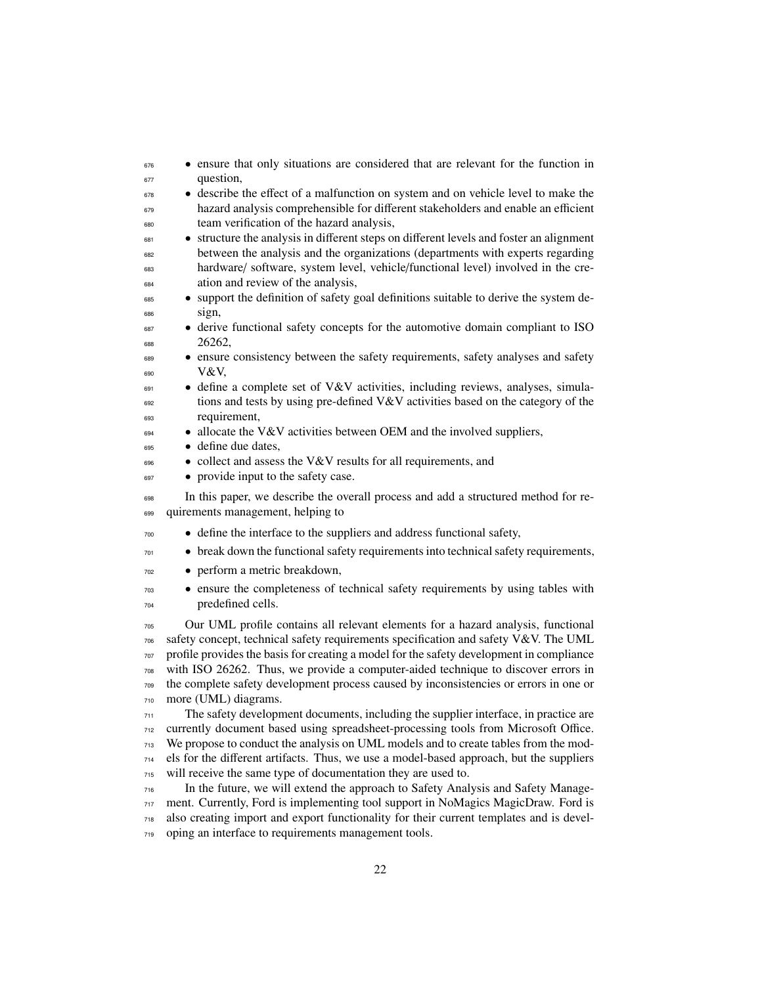| 676 | • ensure that only situations are considered that are relevant for the function in       |
|-----|------------------------------------------------------------------------------------------|
| 677 | question,                                                                                |
| 678 | • describe the effect of a malfunction on system and on vehicle level to make the        |
| 679 | hazard analysis comprehensible for different stakeholders and enable an efficient        |
| 680 | team verification of the hazard analysis,                                                |
| 681 | • structure the analysis in different steps on different levels and foster an alignment  |
| 682 | between the analysis and the organizations (departments with experts regarding           |
| 683 | hardware/ software, system level, vehicle/functional level) involved in the cre-         |
| 684 | ation and review of the analysis,                                                        |
| 685 | • support the definition of safety goal definitions suitable to derive the system de-    |
| 686 | sign,                                                                                    |
| 687 | • derive functional safety concepts for the automotive domain compliant to ISO           |
| 688 | 26262,                                                                                   |
| 689 | • ensure consistency between the safety requirements, safety analyses and safety         |
| 690 | V&V,                                                                                     |
| 691 | • define a complete set of V&V activities, including reviews, analyses, simula-          |
| 692 | tions and tests by using pre-defined V&V activities based on the category of the         |
| 693 | requirement,                                                                             |
| 694 | • allocate the V&V activities between OEM and the involved suppliers,                    |
| 695 | • define due dates,                                                                      |
| 696 | • collect and assess the V&V results for all requirements, and                           |
| 697 | • provide input to the safety case.                                                      |
| 698 | In this paper, we describe the overall process and add a structured method for re-       |
| 699 | quirements management, helping to                                                        |
| 700 | • define the interface to the suppliers and address functional safety,                   |
| 701 | • break down the functional safety requirements into technical safety requirements,      |
| 702 | • perform a metric breakdown,                                                            |
| 703 | • ensure the completeness of technical safety requirements by using tables with          |
| 704 | predefined cells.                                                                        |
| 705 | Our UML profile contains all relevant elements for a hazard analysis, functional         |
| 706 | safety concept, technical safety requirements specification and safety V&V. The UML      |
| 707 | profile provides the basis for creating a model for the safety development in compliance |
| 708 | with ISO 26262. Thus, we provide a computer-aided technique to discover errors in        |
| 709 | the complete safety development process caused by inconsistencies or errors in one or    |
| 710 | more (UML) diagrams.                                                                     |
| 711 | The safety development documents, including the supplier interface, in practice are      |
| 712 | currently document based using spreadsheet-processing tools from Microsoft Office.       |
| 713 | We propose to conduct the analysis on UML models and to create tables from the mod-      |
| 714 | els for the different artifacts. Thus, we use a model-based approach, but the suppliers  |
| 715 | will receive the same type of documentation they are used to.                            |
| 716 | In the future, we will extend the approach to Safety Analysis and Safety Manage-         |
| 717 | ment. Currently, Ford is implementing tool support in NoMagics MagicDraw. Ford is        |
| 718 | also creating import and export functionality for their current templates and is devel-  |
| 719 | oping an interface to requirements management tools.                                     |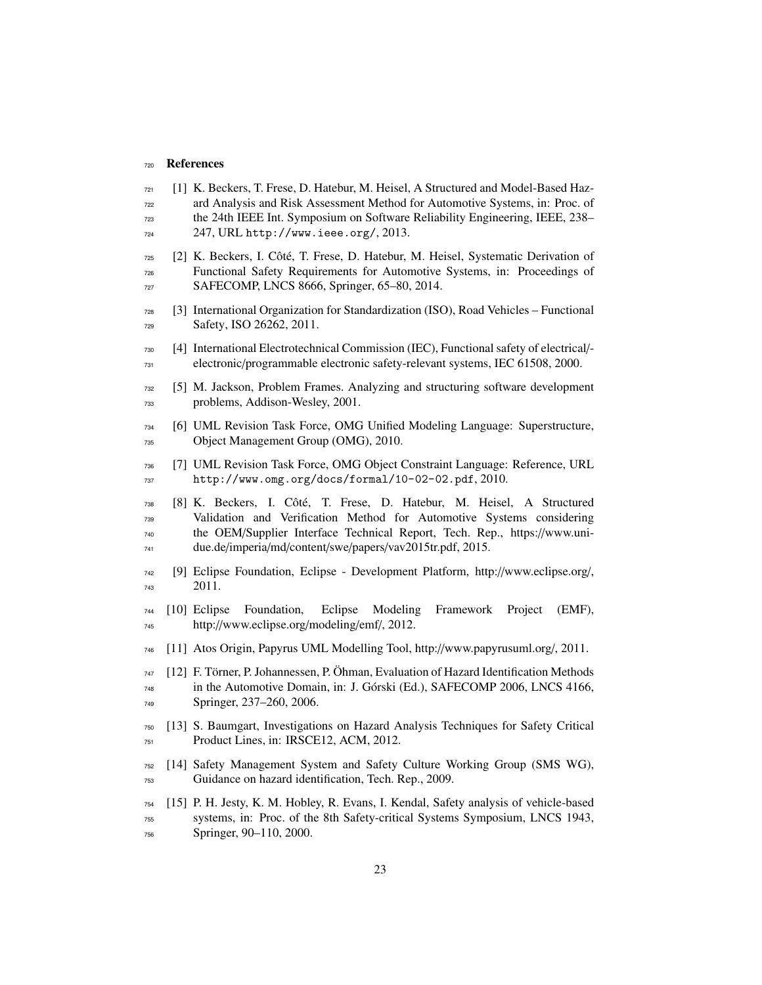#### References

 $_{721}$  [1] K. Beckers, T. Frese, D. Hatebur, M. Heisel, A Structured and Model-Based Haz- ard Analysis and Risk Assessment Method for Automotive Systems, in: Proc. of the 24th IEEE Int. Symposium on Software Reliability Engineering, IEEE, 238– 247, URL http://www.ieee.org/, 2013.  $_{725}$  [2] K. Beckers, I. Côté, T. Frese, D. Hatebur, M. Heisel, Systematic Derivation of Functional Safety Requirements for Automotive Systems, in: Proceedings of SAFECOMP, LNCS 8666, Springer, 65–80, 2014. [3] International Organization for Standardization (ISO), Road Vehicles – Functional Safety, ISO 26262, 2011. [4] International Electrotechnical Commission (IEC), Functional safety of electrical/- electronic/programmable electronic safety-relevant systems, IEC 61508, 2000. [5] M. Jackson, Problem Frames. Analyzing and structuring software development problems, Addison-Wesley, 2001. [6] UML Revision Task Force, OMG Unified Modeling Language: Superstructure, Object Management Group (OMG), 2010. [7] UML Revision Task Force, OMG Object Constraint Language: Reference, URL http://www.omg.org/docs/formal/10-02-02.pdf, 2010. [8] K. Beckers, I. Cotˆ e, T. Frese, D. Hatebur, M. Heisel, A Structured ´ Validation and Verification Method for Automotive Systems considering the OEM/Supplier Interface Technical Report, Tech. Rep., https://www.uni- due.de/imperia/md/content/swe/papers/vav2015tr.pdf, 2015. [9] Eclipse Foundation, Eclipse - Development Platform, http://www.eclipse.org/, 2011. [10] Eclipse Foundation, Eclipse Modeling Framework Project (EMF), http://www.eclipse.org/modeling/emf/, 2012. [11] Atos Origin, Papyrus UML Modelling Tool, http://www.papyrusuml.org/, 2011.  $_{747}$  [12] F. Törner, P. Johannessen, P. Ohman, Evaluation of Hazard Identification Methods in the Automotive Domain, in: J. Gorski (Ed.), SAFECOMP 2006, LNCS 4166, ´ Springer, 237–260, 2006. [13] S. Baumgart, Investigations on Hazard Analysis Techniques for Safety Critical Product Lines, in: IRSCE12, ACM, 2012. [14] Safety Management System and Safety Culture Working Group (SMS WG), Guidance on hazard identification, Tech. Rep., 2009. [15] P. H. Jesty, K. M. Hobley, R. Evans, I. Kendal, Safety analysis of vehicle-based systems, in: Proc. of the 8th Safety-critical Systems Symposium, LNCS 1943, Springer, 90–110, 2000.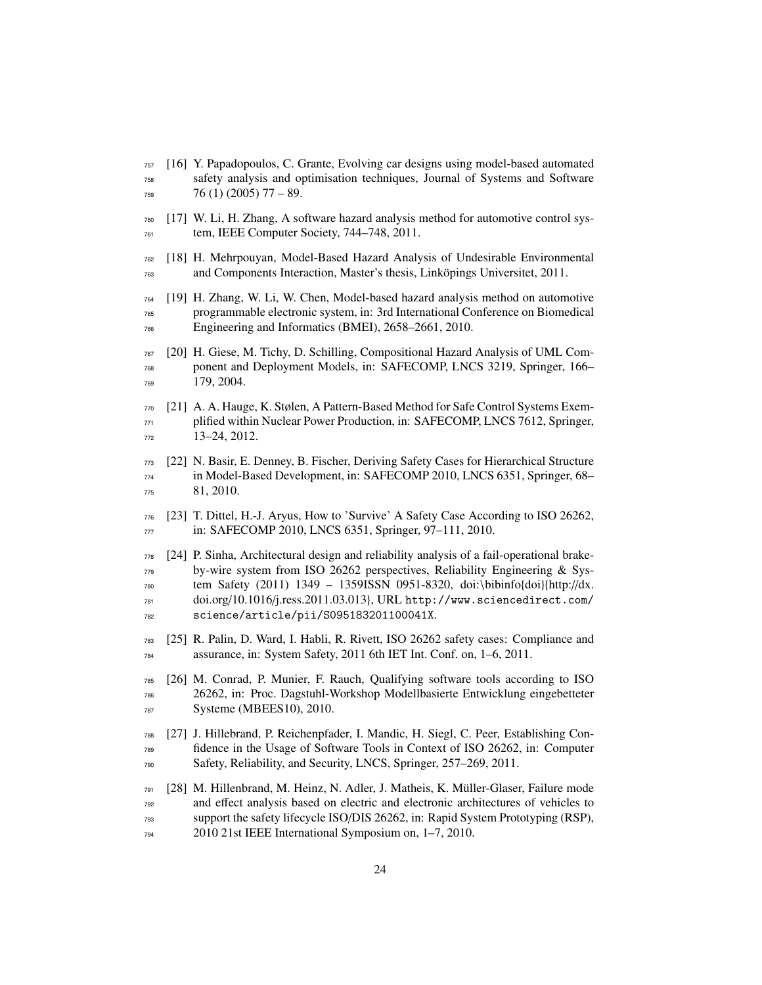- [16] Y. Papadopoulos, C. Grante, Evolving car designs using model-based automated safety analysis and optimisation techniques, Journal of Systems and Software  $76 (1) (2005) 77 - 89.$
- [17] W. Li, H. Zhang, A software hazard analysis method for automotive control sys-tem, IEEE Computer Society, 744–748, 2011.
- [18] H. Mehrpouyan, Model-Based Hazard Analysis of Undesirable Environmental and Components Interaction, Master's thesis, Linkopings Universitet, 2011. ¨
- [19] H. Zhang, W. Li, W. Chen, Model-based hazard analysis method on automotive programmable electronic system, in: 3rd International Conference on Biomedical Engineering and Informatics (BMEI), 2658–2661, 2010.
- [20] H. Giese, M. Tichy, D. Schilling, Compositional Hazard Analysis of UML Com- ponent and Deployment Models, in: SAFECOMP, LNCS 3219, Springer, 166– 179, 2004.
- [21] A. A. Hauge, K. Stølen, A Pattern-Based Method for Safe Control Systems Exem- plified within Nuclear Power Production, in: SAFECOMP, LNCS 7612, Springer, 13–24, 2012.
- [22] N. Basir, E. Denney, B. Fischer, Deriving Safety Cases for Hierarchical Structure in Model-Based Development, in: SAFECOMP 2010, LNCS 6351, Springer, 68– 81, 2010.
- [23] T. Dittel, H.-J. Aryus, How to 'Survive' A Safety Case According to ISO 26262, in: SAFECOMP 2010, LNCS 6351, Springer, 97–111, 2010.
- [24] P. Sinha, Architectural design and reliability analysis of a fail-operational brake- by-wire system from ISO 26262 perspectives, Reliability Engineering & Sys- tem Safety (2011) 1349 – 1359ISSN 0951-8320, doi:\bibinfo{doi}{http://dx. doi.org/10.1016/j.ress.2011.03.013}, URL http://www.sciencedirect.com/ science/article/pii/S095183201100041X.
- [25] R. Palin, D. Ward, I. Habli, R. Rivett, ISO 26262 safety cases: Compliance and assurance, in: System Safety, 2011 6th IET Int. Conf. on, 1–6, 2011.
- [26] M. Conrad, P. Munier, F. Rauch, Qualifying software tools according to ISO 26262, in: Proc. Dagstuhl-Workshop Modellbasierte Entwicklung eingebetteter Systeme (MBEES10), 2010.
- [27] J. Hillebrand, P. Reichenpfader, I. Mandic, H. Siegl, C. Peer, Establishing Con- fidence in the Usage of Software Tools in Context of ISO 26262, in: Computer Safety, Reliability, and Security, LNCS, Springer, 257–269, 2011.
- [28] M. Hillenbrand, M. Heinz, N. Adler, J. Matheis, K. Muller-Glaser, Failure mode ¨ and effect analysis based on electric and electronic architectures of vehicles to support the safety lifecycle ISO/DIS 26262, in: Rapid System Prototyping (RSP), 2010 21st IEEE International Symposium on, 1–7, 2010.